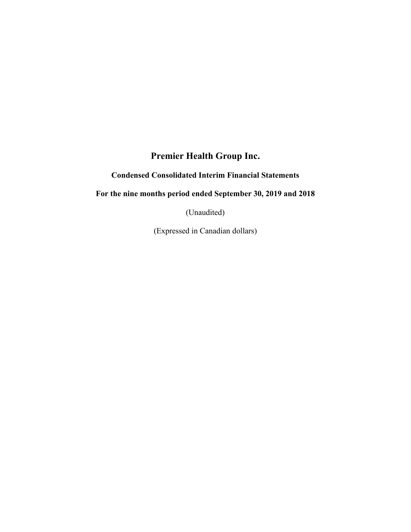# **Premier Health Group Inc.**

# **Condensed Consolidated Interim Financial Statements**

# **For the nine months period ended September 30, 2019 and 2018**

(Unaudited)

(Expressed in Canadian dollars)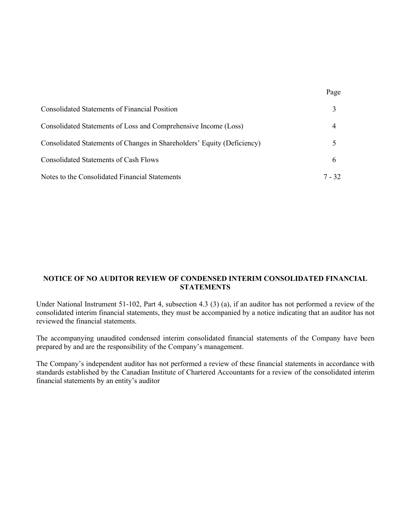| <b>Consolidated Statements of Financial Position</b>                    |        |
|-------------------------------------------------------------------------|--------|
| Consolidated Statements of Loss and Comprehensive Income (Loss)         |        |
| Consolidated Statements of Changes in Shareholders' Equity (Deficiency) |        |
| Consolidated Statements of Cash Flows                                   | h      |
| Notes to the Consolidated Financial Statements                          | 7 - 32 |

Page

## **NOTICE OF NO AUDITOR REVIEW OF CONDENSED INTERIM CONSOLIDATED FINANCIAL STATEMENTS**

Under National Instrument 51-102, Part 4, subsection 4.3 (3) (a), if an auditor has not performed a review of the consolidated interim financial statements, they must be accompanied by a notice indicating that an auditor has not reviewed the financial statements.

The accompanying unaudited condensed interim consolidated financial statements of the Company have been prepared by and are the responsibility of the Company's management.

The Company's independent auditor has not performed a review of these financial statements in accordance with standards established by the Canadian Institute of Chartered Accountants for a review of the consolidated interim financial statements by an entity's auditor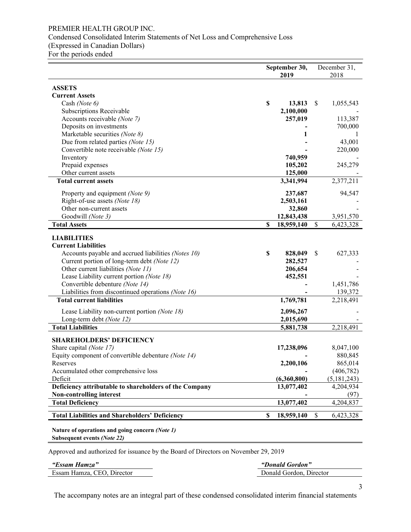## PREMIER HEALTH GROUP INC. Condensed Consolidated Interim Statements of Net Loss and Comprehensive Loss (Expressed in Canadian Dollars) For the periods ended

|                                                        | September 30, |             |    | December 31, |
|--------------------------------------------------------|---------------|-------------|----|--------------|
|                                                        | 2019          |             |    | 2018         |
| <b>ASSETS</b>                                          |               |             |    |              |
| <b>Current Assets</b>                                  |               |             |    |              |
| Cash (Note 6)                                          | \$            | 13,813      | \$ | 1,055,543    |
| Subscriptions Receivable                               |               | 2,100,000   |    |              |
| Accounts receivable (Note 7)                           |               | 257,019     |    | 113,387      |
| Deposits on investments                                |               |             |    | 700,000      |
| Marketable securities (Note 8)                         |               | 1           |    | -1           |
| Due from related parties (Note 15)                     |               |             |    | 43,001       |
| Convertible note receivable (Note 15)                  |               |             |    | 220,000      |
| Inventory                                              |               | 740,959     |    |              |
| Prepaid expenses                                       |               | 105,202     |    | 245,279      |
| Other current assets                                   |               | 125,000     |    |              |
| <b>Total current assets</b>                            |               | 3,341,994   |    | 2,377,211    |
| Property and equipment (Note 9)                        |               | 237,687     |    | 94,547       |
| Right-of-use assets (Note 18)                          |               | 2,503,161   |    |              |
| Other non-current assets                               |               | 32,860      |    |              |
| Goodwill (Note 3)                                      |               | 12,843,438  |    | 3,951,570    |
| <b>Total Assets</b>                                    | \$            | 18,959,140  | \$ | 6,423,328    |
|                                                        |               |             |    |              |
| <b>LIABILITIES</b>                                     |               |             |    |              |
| <b>Current Liabilities</b>                             |               |             |    |              |
| Accounts payable and accrued liabilities (Notes 10)    | \$            | 828,049     | \$ | 627,333      |
| Current portion of long-term debt (Note 12)            |               | 282,527     |    |              |
| Other current liabilities (Note 11)                    |               | 206,654     |    |              |
| Lease Liability current portion (Note 18)              |               | 452,551     |    |              |
| Convertible debenture (Note 14)                        |               |             |    | 1,451,786    |
| Liabilities from discontinued operations (Note 16)     |               |             |    | 139,372      |
| <b>Total current liabilities</b>                       |               | 1,769,781   |    | 2,218,491    |
| Lease Liability non-current portion (Note 18)          |               | 2,096,267   |    |              |
| Long-term debt (Note 12)                               |               | 2,015,690   |    |              |
| <b>Total Liabilities</b>                               |               | 5,881,738   |    | 2,218,491    |
| <b>SHAREHOLDERS' DEFICIENCY</b>                        |               |             |    |              |
| Share capital (Note 17)                                |               | 17,238,096  |    | 8,047,100    |
| Equity component of convertible debenture (Note 14)    |               |             |    | 880,845      |
| Reserves                                               |               | 2,200,106   |    | 865,014      |
| Accumulated other comprehensive loss                   |               |             |    | (406, 782)   |
| Deficit                                                |               | (6,360,800) |    | (5,181,243)  |
| Deficiency attributable to shareholders of the Company |               | 13,077,402  |    | 4,204,934    |
| Non-controlling interest                               |               |             |    | (97)         |
| <b>Total Deficiency</b>                                |               | 13,077,402  |    | 4,204,837    |
| <b>Total Liabilities and Shareholders' Deficiency</b>  | \$            | 18,959,140  | \$ | 6,423,328    |
| Nature of operations and going concern (Note 1)        |               |             |    |              |

**Subsequent events** *(Note 22)*

Approved and authorized for issuance by the Board of Directors on November 29, 2019

| "Essam Hamza"              | "Donald Gordon"         |
|----------------------------|-------------------------|
| Essam Hamza, CEO, Director | Donald Gordon, Director |
|                            |                         |

The accompany notes are an integral part of these condensed consolidated interim financial statements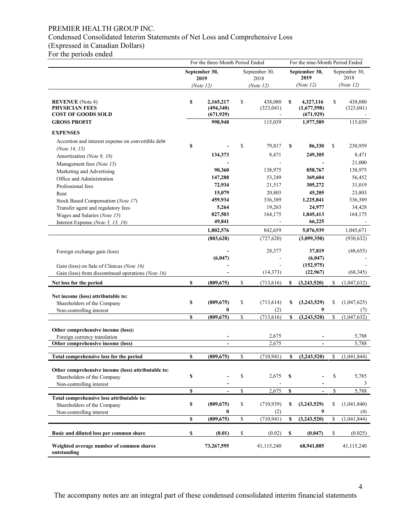## PREMIER HEALTH GROUP INC.

## Condensed Consolidated Interim Statements of Net Loss and Comprehensive Loss

(Expressed in Canadian Dollars)

For the periods ended

|                                                                                   | For the three-Month Period Ended |                                      |           | For the nine-Month Period Ended |                  |                                        |    |                       |
|-----------------------------------------------------------------------------------|----------------------------------|--------------------------------------|-----------|---------------------------------|------------------|----------------------------------------|----|-----------------------|
|                                                                                   | September 30,<br>2019            |                                      |           | September 30,<br>2018           |                  | September 30,<br>2019                  |    | September 30,<br>2018 |
|                                                                                   |                                  | (Note 12)                            | (Note 12) |                                 |                  | (Note 12)                              |    | (Note 12)             |
| <b>REVENUE</b> (Note 4)<br><b>PHYSICIAN FEES</b><br><b>COST OF GOODS SOLD</b>     | \$                               | 2,165,217<br>(494,340)<br>(671, 929) | \$        | 438,080<br>(323, 041)           | \$               | 4,327,116<br>(1,677,598)<br>(671, 929) | \$ | 438,080<br>(323, 041) |
| <b>GROSS PROFIT</b>                                                               |                                  | 998,948                              |           | 115,039                         |                  | 1,977,589                              |    | 115,039               |
| <b>EXPENSES</b>                                                                   |                                  |                                      |           |                                 |                  |                                        |    |                       |
| Accretion and interest expense on convertible debt                                |                                  |                                      |           |                                 |                  |                                        |    |                       |
| (Note 14, 15)                                                                     | \$                               |                                      | \$        | 79,817                          | \$               | 86,330                                 | \$ | 230,959               |
| Amortization (Note 9, 18)                                                         |                                  | 134,373                              |           | 8,471                           |                  | 249,305                                |    | 8,471                 |
| Management fees (Note 15)                                                         |                                  |                                      |           |                                 |                  |                                        |    | 21,000                |
| Marketing and Advertising                                                         |                                  | 90,360                               |           | 138,975                         |                  | 858,767                                |    | 138,975               |
| Office and Administration                                                         |                                  | 147,288                              |           | 53,249                          |                  | 369,604                                |    | 56,452                |
| Professional fees                                                                 |                                  | 72,934                               |           | 21,517                          |                  | 305,272                                |    | 31,019                |
| Rent                                                                              |                                  | 15,079                               |           | 20,803                          |                  | 45,205                                 |    | 23,803                |
| Stock Based Compensation (Note 17)                                                |                                  | 459,934                              |           | 336,389                         |                  | 1,225,841                              |    | 336,389               |
| Transfer agent and regulatory fees                                                |                                  | 5,264                                |           | 19,263                          |                  | 24,977                                 |    | 34,428                |
| Wages and Salaries (Note 15)                                                      |                                  | 827,503                              |           | 164,175                         |                  | 1,845,413                              |    | 164,175               |
| Interest Expense (Note 5, 13, 18)                                                 |                                  | 49,841                               |           |                                 |                  | 66,225                                 |    |                       |
|                                                                                   |                                  | 1,802,576                            |           | 842,659                         |                  | 5,076,939                              |    | 1,045,671             |
|                                                                                   |                                  | (803, 628)                           |           | (727, 620)                      |                  | (3,099,350)                            |    | (930, 632)            |
| Foreign exchange gain (loss)                                                      |                                  | (6,047)                              |           | 28,377                          |                  | 37,819<br>(6,047)                      |    | (48, 655)             |
| Gain (loss) on Sale of Clinicas (Note 16)                                         |                                  |                                      |           |                                 |                  | (152, 975)                             |    |                       |
| Gain (loss) from discontinued operations (Note 16)                                |                                  |                                      |           | (14, 373)                       |                  | (22,967)                               |    | (68, 345)             |
| Net loss for the period                                                           | \$                               | (809, 675)                           | \$        | (713, 616)                      | S                | (3,243,520)                            | \$ | (1,047,632)           |
| Net income (loss) attributable to:                                                |                                  |                                      |           |                                 |                  |                                        |    |                       |
| Shareholders of the Company                                                       | \$                               | (809, 675)                           | \$        | (713, 614)                      | \$               | (3,243,529)                            | \$ | (1,047,625)           |
| Non-controlling interest                                                          |                                  | 0                                    |           | (2)                             |                  | 9                                      |    | (7)                   |
|                                                                                   | \$                               | (809, 675)                           | \$        | (713, 616)                      | \$               | (3, 243, 520)                          | \$ | (1,047,632)           |
|                                                                                   |                                  |                                      |           |                                 |                  |                                        |    |                       |
| Other comprehensive income (loss):<br>Foreign currency translation                |                                  |                                      |           | 2,675                           |                  |                                        |    | 5,788                 |
| Other comprehensive income (loss)                                                 |                                  | $\blacksquare$                       |           | 2,675                           |                  | $\blacksquare$                         |    | 5,788                 |
|                                                                                   |                                  |                                      |           |                                 |                  |                                        |    |                       |
| Total comprehensive loss for the period                                           | \$                               | (809, 675)                           | \$        | (710, 941)                      | \$               | (3,243,520)                            | \$ | (1,041,844)           |
|                                                                                   |                                  |                                      |           |                                 |                  |                                        |    |                       |
| Other comprehensive income (loss) attributable to:<br>Shareholders of the Company | \$                               |                                      | \$        | 2,675                           | S                |                                        | \$ | 5,785                 |
| Non-controlling interest                                                          |                                  |                                      |           |                                 |                  |                                        |    | 3                     |
|                                                                                   | \$                               | $\overline{\phantom{a}}$             | \$        | 2,675                           | $\mathbf S$      |                                        | \$ | 5,788                 |
| Total comprehensive loss attributable to:                                         |                                  |                                      |           |                                 |                  |                                        |    |                       |
| Shareholders of the Company                                                       | \$                               | (809, 675)                           | \$        | (710, 939)                      | \$               | (3,243,529)                            | \$ | (1,041,840)           |
| Non-controlling interest                                                          |                                  | $\boldsymbol{0}$                     |           | (2)                             |                  | 9                                      |    | (4)                   |
|                                                                                   | \$                               | (809, 675)                           | \$        | (710, 941)                      | $\boldsymbol{s}$ | (3,243,520)                            | \$ | (1,041,844)           |
| Basic and diluted loss per common share                                           | \$                               | (0.01)                               | \$        | (0.02)                          | \$               | (0.047)                                | \$ | (0.025)               |
| Weighted average number of common shares<br>outstanding                           |                                  | 73,267,595                           |           | 41,115,240                      |                  | 68,941,885                             |    | 41,115,240            |

The accompany notes are an integral part of these condensed consolidated interim financial statements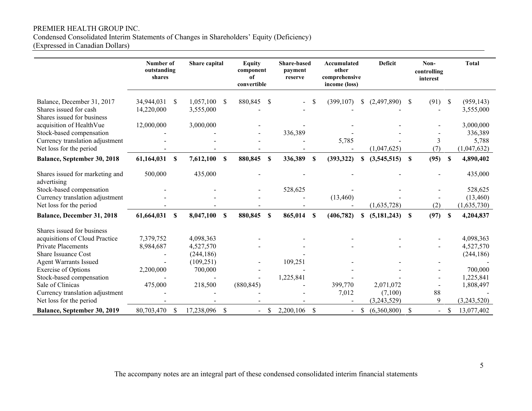## PREMIER HEALTH GROUP INC.

Condensed Consolidated Interim Statements of Changes in Shareholders' Equity (Deficiency)

(Expressed in Canadian Dollars)

|                                                                                    | Number of<br>outstanding<br>shares |              | Share capital          |               | <b>Equity</b><br>component<br>of<br>convertible |                           | <b>Share-based</b><br>payment<br>reserve |    | Accumulated<br>other<br>comprehensive<br>income (loss) |               | <b>Deficit</b> |               | Non-<br>controlling<br>interest |                           | <b>Total</b>            |
|------------------------------------------------------------------------------------|------------------------------------|--------------|------------------------|---------------|-------------------------------------------------|---------------------------|------------------------------------------|----|--------------------------------------------------------|---------------|----------------|---------------|---------------------------------|---------------------------|-------------------------|
| Balance, December 31, 2017<br>Shares issued for cash<br>Shares issued for business | 34,944,031<br>14,220,000           | \$           | 1,057,100<br>3,555,000 | S             | 880,845                                         | <sup>\$</sup>             |                                          |    | (399, 107)                                             | <sup>\$</sup> | (2,497,890)    | <sup>\$</sup> | (91)                            | $\boldsymbol{\mathsf{S}}$ | (959, 143)<br>3,555,000 |
| acquisition of HealthVue                                                           | 12,000,000                         |              | 3,000,000              |               |                                                 |                           |                                          |    |                                                        |               |                |               |                                 |                           | 3,000,000               |
| Stock-based compensation                                                           |                                    |              |                        |               |                                                 |                           | 336,389                                  |    |                                                        |               |                |               |                                 |                           | 336,389                 |
| Currency translation adjustment                                                    |                                    |              |                        |               |                                                 |                           |                                          |    | 5,785                                                  |               |                |               | 3                               |                           | 5,788                   |
| Net loss for the period                                                            |                                    |              |                        |               |                                                 |                           |                                          |    |                                                        |               | (1,047,625)    |               | (7)                             |                           | (1,047,632)             |
| Balance, September 30, 2018                                                        | 61,164,031                         | \$           | 7,612,100              | \$            | 880,845                                         | $\boldsymbol{\mathsf{S}}$ | 336,389                                  | S  | (393, 322)                                             | \$            | (3,545,515)    | $\mathbf S$   | (95)                            | $\mathbf S$               | 4,890,402               |
| Shares issued for marketing and<br>advertising                                     | 500,000                            |              | 435,000                |               |                                                 |                           |                                          |    |                                                        |               |                |               |                                 |                           | 435,000                 |
| Stock-based compensation                                                           |                                    |              |                        |               |                                                 |                           | 528,625                                  |    |                                                        |               |                |               |                                 |                           | 528,625                 |
| Currency translation adjustment                                                    |                                    |              |                        |               |                                                 |                           |                                          |    | (13, 460)                                              |               |                |               |                                 |                           | (13,460)                |
| Net loss for the period                                                            |                                    |              |                        |               |                                                 |                           |                                          |    |                                                        |               | (1,635,728)    |               | (2)                             |                           | (1,635,730)             |
| Balance, December 31, 2018                                                         | 61,664,031                         | \$           | 8,047,100              | \$            | 880,845                                         | $\mathbf S$               | 865,014                                  | \$ | (406, 782)                                             | \$            | (5,181,243)    | $\mathbf S$   | (97)                            | $\mathbf S$               | 4,204,837               |
| Shares issued for business                                                         |                                    |              |                        |               |                                                 |                           |                                          |    |                                                        |               |                |               |                                 |                           |                         |
| acquisitions of Cloud Practice                                                     | 7,379,752                          |              | 4,098,363              |               |                                                 |                           |                                          |    |                                                        |               |                |               |                                 |                           | 4,098,363               |
| <b>Private Placements</b>                                                          | 8,984,687                          |              | 4,527,570              |               |                                                 |                           |                                          |    |                                                        |               |                |               |                                 |                           | 4,527,570               |
| Share Issuance Cost                                                                |                                    |              | (244, 186)             |               |                                                 |                           |                                          |    |                                                        |               |                |               |                                 |                           | (244, 186)              |
| <b>Agent Warrants Issued</b>                                                       |                                    |              | (109, 251)             |               |                                                 |                           | 109,251                                  |    |                                                        |               |                |               |                                 |                           |                         |
| <b>Exercise of Options</b>                                                         | 2,200,000                          |              | 700,000                |               |                                                 |                           |                                          |    |                                                        |               |                |               |                                 |                           | 700,000                 |
| Stock-based compensation                                                           |                                    |              |                        |               |                                                 |                           | 1,225,841                                |    |                                                        |               |                |               |                                 |                           | 1,225,841               |
| Sale of Clinicas                                                                   | 475,000                            |              | 218,500                |               | (880, 845)                                      |                           |                                          |    | 399,770                                                |               | 2,071,072      |               |                                 |                           | 1,808,497               |
| Currency translation adjustment                                                    |                                    |              |                        |               |                                                 |                           |                                          |    | 7,012                                                  |               | (7,100)        |               | 88                              |                           |                         |
| Net loss for the period                                                            |                                    |              |                        |               |                                                 |                           |                                          |    |                                                        |               | (3,243,529)    |               | 9                               |                           | (3,243,520)             |
| Balance, September 30, 2019                                                        | 80,703,470                         | <sup>S</sup> | 17,238,096             | $\mathcal{S}$ |                                                 | \$                        | 2,200,106                                | \$ |                                                        | \$            | (6,360,800)    | $\mathcal{S}$ |                                 | <sup>\$</sup>             | 13,077,402              |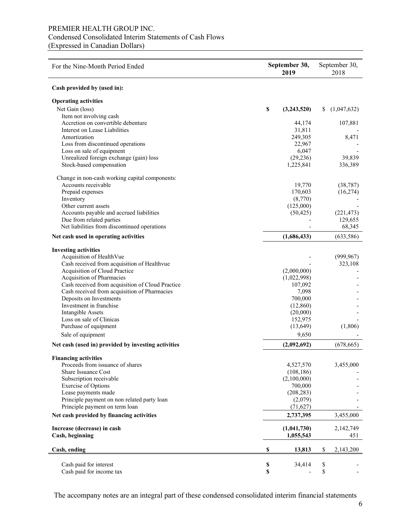## PREMIER HEALTH GROUP INC. Condensed Consolidated Interim Statements of Cash Flows (Expressed in Canadian Dollars)

| For the Nine-Month Period Ended                     | September 30,<br>2019 | September 30,<br>2018 |             |  |
|-----------------------------------------------------|-----------------------|-----------------------|-------------|--|
| Cash provided by (used in):                         |                       |                       |             |  |
| <b>Operating activities</b>                         |                       |                       |             |  |
| Net Gain (loss)                                     | \$<br>(3,243,520)     | S.                    | (1,047,632) |  |
| Item not involving cash                             |                       |                       |             |  |
| Accretion on convertible debenture                  | 44,174                |                       | 107,881     |  |
| Interest on Lease Liabilities                       | 31,811                |                       |             |  |
| Amortization                                        | 249,305               |                       | 8,471       |  |
| Loss from discontinued operations                   | 22,967                |                       |             |  |
| Loss on sale of equipment                           | 6,047                 |                       |             |  |
| Unrealized foreign exchange (gain) loss             | (29, 236)             |                       | 39,839      |  |
| Stock-based compensation                            | 1,225,841             |                       | 336,389     |  |
| Change in non-cash working capital components:      |                       |                       |             |  |
| Accounts receivable                                 | 19,770                |                       | (38, 787)   |  |
| Prepaid expenses                                    | 170,603               |                       | (16, 274)   |  |
| Inventory                                           | (8,770)               |                       |             |  |
| Other current assets                                | (125,000)             |                       |             |  |
| Accounts payable and accrued liabilities            | (50, 425)             |                       | (221, 473)  |  |
| Due from related parties                            |                       |                       | 129,655     |  |
| Net liabilities from discontinued operations        |                       |                       | 68,345      |  |
| Net cash used in operating activities               | (1,686,433)           |                       | (633, 586)  |  |
| <b>Investing activities</b>                         |                       |                       |             |  |
| Acquisition of HealthVue                            |                       |                       | (999, 967)  |  |
| Cash received from acquisition of Healthvue         |                       |                       | 323,108     |  |
| Acquisition of Cloud Practice                       | (2,000,000)           |                       |             |  |
| Acquisition of Pharmacies                           | (1,022,998)           |                       |             |  |
| Cash received from acquisition of Cloud Practice    | 107,092               |                       |             |  |
| Cash received from acquisition of Pharmacies        | 7,098                 |                       |             |  |
| Deposits on Investments                             | 700,000               |                       |             |  |
| Investment in franchise                             | (12,860)              |                       |             |  |
| <b>Intangible Assets</b>                            | (20,000)              |                       |             |  |
| Loss on sale of Clinicas                            | 152,975               |                       |             |  |
| Purchase of equipment                               | (13, 649)             |                       | (1,806)     |  |
| Sale of equipment                                   | 9,650                 |                       |             |  |
| Net cash (used in) provided by investing activities | (2,092,692)           |                       | (678, 665)  |  |
| <b>Financing activities</b>                         |                       |                       |             |  |
| Proceeds from issuance of shares                    | 4,527,570             |                       | 3,455,000   |  |
| Share Issuance Cost                                 | (108, 186)            |                       |             |  |
| Subscription receivable                             | (2,100,000)           |                       |             |  |
| <b>Exercise of Options</b>                          | 700,000               |                       |             |  |
| Lease payments made                                 | (208, 283)            |                       |             |  |
| Principle payment on non related party loan         | (2,079)               |                       |             |  |
| Principle payment on term loan                      | (71, 627)             |                       |             |  |
| Net cash provided by financing activities           | 2,737,395             |                       | 3,455,000   |  |
| Increase (decrease) in cash                         | (1,041,730)           |                       | 2,142,749   |  |
| Cash, beginning                                     | 1,055,543             |                       | 451         |  |
| Cash, ending                                        | \$<br>13,813          | \$                    | 2,143,200   |  |
|                                                     |                       |                       |             |  |
| Cash paid for interest                              | \$<br>34,414          | \$                    |             |  |
| Cash paid for income tax                            | \$                    | \$                    |             |  |

The accompany notes are an integral part of these condensed consolidated interim financial statements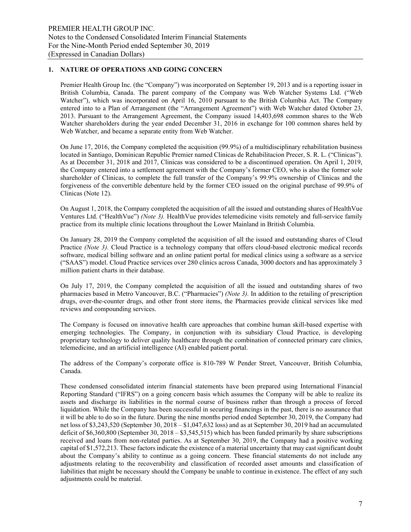## **1. NATURE OF OPERATIONS AND GOING CONCERN**

Premier Health Group Inc. (the "Company") was incorporated on September 19, 2013 and is a reporting issuer in British Columbia, Canada. The parent company of the Company was Web Watcher Systems Ltd. ("Web Watcher"), which was incorporated on April 16, 2010 pursuant to the British Columbia Act. The Company entered into to a Plan of Arrangement (the "Arrangement Agreement") with Web Watcher dated October 23, 2013. Pursuant to the Arrangement Agreement, the Company issued 14,403,698 common shares to the Web Watcher shareholders during the year ended December 31, 2016 in exchange for 100 common shares held by Web Watcher, and became a separate entity from Web Watcher.

On June 17, 2016, the Company completed the acquisition (99.9%) of a multidisciplinary rehabilitation business located in Santiago, Dominican Republic Premier named Clinicas de Rehabilitacion Precer, S. R. L. ("Clinicas"). As at December 31, 2018 and 2017, Clinicas was considered to be a discontinued operation. On April 1, 2019, the Company entered into a settlement agreement with the Company's former CEO, who is also the former sole shareholder of Clinicas, to complete the full transfer of the Company's 99.9% ownership of Clinicas and the forgiveness of the convertible debenture held by the former CEO issued on the original purchase of 99.9% of Clinicas (Note 12).

On August 1, 2018, the Company completed the acquisition of all the issued and outstanding shares of HealthVue Ventures Ltd. ("HealthVue") *(Note 3).* HealthVue provides telemedicine visits remotely and full-service family practice from its multiple clinic locations throughout the Lower Mainland in British Columbia.

On January 28, 2019 the Company completed the acquisition of all the issued and outstanding shares of Cloud Practice *(Note 3)*. Cloud Practice is a technology company that offers cloud-based electronic medical records software, medical billing software and an online patient portal for medical clinics using a software as a service ("SAAS") model. Cloud Practice services over 280 clinics across Canada, 3000 doctors and has approximately 3 million patient charts in their database.

On July 17, 2019, the Company completed the acquisition of all the issued and outstanding shares of two pharmacies based in Metro Vancouver, B.C. ("Pharmacies") *(Note 3).* In addition to the retailing of prescription drugs, over-the-counter drugs, and other front store items, the Pharmacies provide clinical services like med reviews and compounding services.

The Company is focused on innovative health care approaches that combine human skill-based expertise with emerging technologies. The Company, in conjunction with its subsidiary Cloud Practice, is developing proprietary technology to deliver quality healthcare through the combination of connected primary care clinics, telemedicine, and an artificial intelligence (AI) enabled patient portal.

The address of the Company's corporate office is 810-789 W Pender Street, Vancouver, British Columbia, Canada.

These condensed consolidated interim financial statements have been prepared using International Financial Reporting Standard ("IFRS") on a going concern basis which assumes the Company will be able to realize its assets and discharge its liabilities in the normal course of business rather than through a process of forced liquidation. While the Company has been successful in securing financings in the past, there is no assurance that it will be able to do so in the future. During the nine months period ended September 30, 2019, the Company had net loss of \$3,243,520 (September 30, 2018 – \$1,047,632 loss) and as at September 30, 2019 had an accumulated deficit of \$6,360,800 (September 30, 2018 – \$3,545,515) which has been funded primarily by share subscriptions received and loans from non-related parties. As at September 30, 2019, the Company had a positive working capital of \$1,572,213. These factors indicate the existence of a material uncertainty that may cast significant doubt about the Company's ability to continue as a going concern. These financial statements do not include any adjustments relating to the recoverability and classification of recorded asset amounts and classification of liabilities that might be necessary should the Company be unable to continue in existence. The effect of any such adjustments could be material.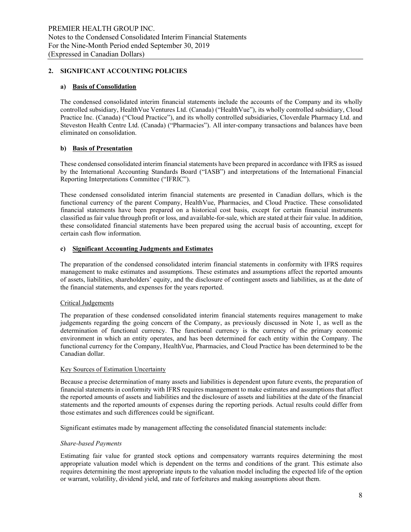## **2. SIGNIFICANT ACCOUNTING POLICIES**

## **a) Basis of Consolidation**

The condensed consolidated interim financial statements include the accounts of the Company and its wholly controlled subsidiary, HealthVue Ventures Ltd. (Canada) ("HealthVue"), its wholly controlled subsidiary, Cloud Practice Inc. (Canada) ("Cloud Practice"), and its wholly controlled subsidiaries, Cloverdale Pharmacy Ltd. and Steveston Health Centre Ltd. (Canada) ("Pharmacies"). All inter-company transactions and balances have been eliminated on consolidation.

## **b) Basis of Presentation**

These condensed consolidated interim financial statements have been prepared in accordance with IFRS as issued by the International Accounting Standards Board ("IASB") and interpretations of the International Financial Reporting Interpretations Committee ("IFRIC").

These condensed consolidated interim financial statements are presented in Canadian dollars, which is the functional currency of the parent Company, HealthVue, Pharmacies, and Cloud Practice. These consolidated financial statements have been prepared on a historical cost basis, except for certain financial instruments classified as fair value through profit or loss, and available-for-sale, which are stated at their fair value. In addition, these consolidated financial statements have been prepared using the accrual basis of accounting, except for certain cash flow information.

#### **c) Significant Accounting Judgments and Estimates**

The preparation of the condensed consolidated interim financial statements in conformity with IFRS requires management to make estimates and assumptions. These estimates and assumptions affect the reported amounts of assets, liabilities, shareholders' equity, and the disclosure of contingent assets and liabilities, as at the date of the financial statements, and expenses for the years reported.

#### Critical Judgements

The preparation of these condensed consolidated interim financial statements requires management to make judgements regarding the going concern of the Company, as previously discussed in Note 1, as well as the determination of functional currency. The functional currency is the currency of the primary economic environment in which an entity operates, and has been determined for each entity within the Company. The functional currency for the Company, HealthVue, Pharmacies, and Cloud Practice has been determined to be the Canadian dollar.

#### Key Sources of Estimation Uncertainty

Because a precise determination of many assets and liabilities is dependent upon future events, the preparation of financial statements in conformity with IFRS requires management to make estimates and assumptions that affect the reported amounts of assets and liabilities and the disclosure of assets and liabilities at the date of the financial statements and the reported amounts of expenses during the reporting periods. Actual results could differ from those estimates and such differences could be significant.

Significant estimates made by management affecting the consolidated financial statements include:

#### *Share-based Payments*

Estimating fair value for granted stock options and compensatory warrants requires determining the most appropriate valuation model which is dependent on the terms and conditions of the grant. This estimate also requires determining the most appropriate inputs to the valuation model including the expected life of the option or warrant, volatility, dividend yield, and rate of forfeitures and making assumptions about them.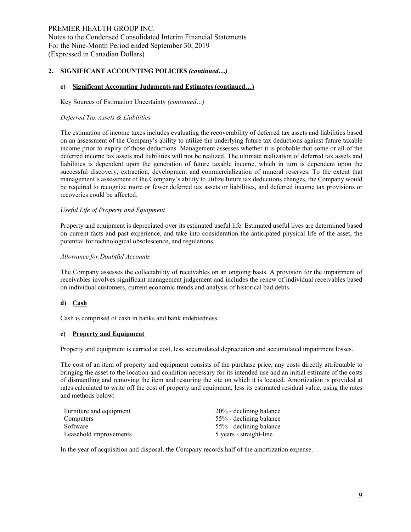#### **c) Significant Accounting Judgments and Estimates (continued…)**

#### Key Sources of Estimation Uncertainty *(continued…)*

#### *Deferred Tax Assets & Liabilities*

The estimation of income taxes includes evaluating the recoverability of deferred tax assets and liabilities based on an assessment of the Company's ability to utilize the underlying future tax deductions against future taxable income prior to expiry of those deductions. Management assesses whether it is probable that some or all of the deferred income tax assets and liabilities will not be realized. The ultimate realization of deferred tax assets and liabilities is dependent upon the generation of future taxable income, which in turn is dependent upon the successful discovery, extraction, development and commercialization of mineral reserves. To the extent that management's assessment of the Company's ability to utilize future tax deductions changes, the Company would be required to recognize more or fewer deferred tax assets or liabilities, and deferred income tax provisions or recoveries could be affected.

#### *Useful Life of Property and Equipment*

Property and equipment is depreciated over its estimated useful life. Estimated useful lives are determined based on current facts and past experience, and take into consideration the anticipated physical life of the asset, the potential for technological obsolescence, and regulations.

#### *Allowance for Doubtful Accounts*

The Company assesses the collectability of receivables on an ongoing basis. A provision for the impairment of receivables involves significant management judgement and includes the renew of individual receivables based on individual customers, current economic trends and analysis of historical bad debts.

#### **d) Cash**

Cash is comprised of cash in banks and bank indebtedness.

#### **e) Property and Equipment**

Property and equipment is carried at cost, less accumulated depreciation and accumulated impairment losses.

The cost of an item of property and equipment consists of the purchase price, any costs directly attributable to bringing the asset to the location and condition necessary for its intended use and an initial estimate of the costs of dismantling and removing the item and restoring the site on which it is located. Amortization is provided at rates calculated to write off the cost of property and equipment, less its estimated residual value, using the rates and methods below:

| Furniture and equipment | 20% - declining balance |
|-------------------------|-------------------------|
| Computers               | 55% - declining balance |
| Software                | 55% - declining balance |
| Leasehold improvements  | 5 years - straight-line |

In the year of acquisition and disposal, the Company records half of the amortization expense.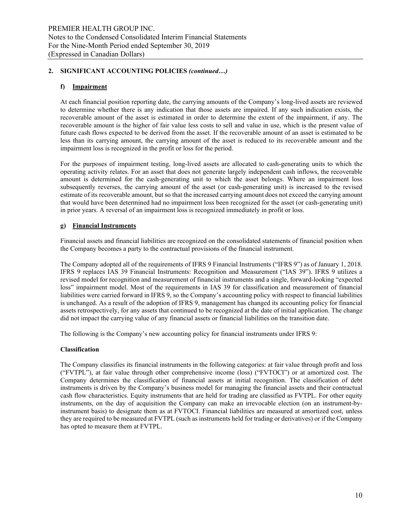## **f) Impairment**

At each financial position reporting date, the carrying amounts of the Company's long-lived assets are reviewed to determine whether there is any indication that those assets are impaired. If any such indication exists, the recoverable amount of the asset is estimated in order to determine the extent of the impairment, if any. The recoverable amount is the higher of fair value less costs to sell and value in use, which is the present value of future cash flows expected to be derived from the asset. If the recoverable amount of an asset is estimated to be less than its carrying amount, the carrying amount of the asset is reduced to its recoverable amount and the impairment loss is recognized in the profit or loss for the period.

For the purposes of impairment testing, long-lived assets are allocated to cash-generating units to which the operating activity relates. For an asset that does not generate largely independent cash inflows, the recoverable amount is determined for the cash-generating unit to which the asset belongs. Where an impairment loss subsequently reverses, the carrying amount of the asset (or cash-generating unit) is increased to the revised estimate of its recoverable amount, but so that the increased carrying amount does not exceed the carrying amount that would have been determined had no impairment loss been recognized for the asset (or cash-generating unit) in prior years. A reversal of an impairment loss is recognized immediately in profit or loss.

## **g) Financial Instruments**

Financial assets and financial liabilities are recognized on the consolidated statements of financial position when the Company becomes a party to the contractual provisions of the financial instrument.

The Company adopted all of the requirements of IFRS 9 Financial Instruments ("IFRS 9") as of January 1, 2018. IFRS 9 replaces IAS 39 Financial Instruments: Recognition and Measurement ("IAS 39"). IFRS 9 utilizes a revised model for recognition and measurement of financial instruments and a single, forward-looking "expected loss" impairment model. Most of the requirements in IAS 39 for classification and measurement of financial liabilities were carried forward in IFRS 9, so the Company's accounting policy with respect to financial liabilities is unchanged. As a result of the adoption of IFRS 9, management has changed its accounting policy for financial assets retrospectively, for any assets that continued to be recognized at the date of initial application. The change did not impact the carrying value of any financial assets or financial liabilities on the transition date.

The following is the Company's new accounting policy for financial instruments under IFRS 9:

#### **Classification**

The Company classifies its financial instruments in the following categories: at fair value through profit and loss ("FVTPL"), at fair value through other comprehensive income (loss) ("FVTOCI") or at amortized cost. The Company determines the classification of financial assets at initial recognition. The classification of debt instruments is driven by the Company's business model for managing the financial assets and their contractual cash flow characteristics. Equity instruments that are held for trading are classified as FVTPL. For other equity instruments, on the day of acquisition the Company can make an irrevocable election (on an instrument-byinstrument basis) to designate them as at FVTOCI. Financial liabilities are measured at amortized cost, unless they are required to be measured at FVTPL (such as instruments held for trading or derivatives) or if the Company has opted to measure them at FVTPL.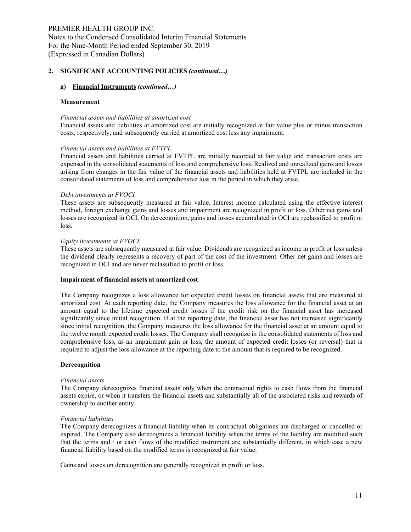#### **g) Financial Instruments** *(continued…)*

#### **Measurement**

#### *Financial assets and liabilities at amortized cost*

Financial assets and liabilities at amortized cost are initially recognized at fair value plus or minus transaction costs, respectively, and subsequently carried at amortized cost less any impairment.

#### *Financial assets and liabilities at FVTPL*

Financial assets and liabilities carried at FVTPL are initially recorded at fair value and transaction costs are expensed in the consolidated statements of loss and comprehensive loss. Realized and unrealized gains and losses arising from changes in the fair value of the financial assets and liabilities held at FVTPL are included in the consolidated statements of loss and comprehensive loss in the period in which they arise.

#### *Debt investments at FVOCI*

These assets are subsequently measured at fair value. Interest income calculated using the effective interest method, foreign exchange gains and losses and impairment are recognized in profit or loss. Other net gains and losses are recognized in OCI. On derecognition, gains and losses accumulated in OCI are reclassified to profit or loss.

#### *Equity investments at FVOCI*

These assets are subsequently measured at fair value. Dividends are recognized as income in profit or loss unless the dividend clearly represents a recovery of part of the cost of the investment. Other net gains and losses are recognized in OCI and are never reclassified to profit or loss.

#### **Impairment of financial assets at amortized cost**

The Company recognizes a loss allowance for expected credit losses on financial assets that are measured at amortized cost. At each reporting date, the Company measures the loss allowance for the financial asset at an amount equal to the lifetime expected credit losses if the credit risk on the financial asset has increased significantly since initial recognition. If at the reporting date, the financial asset has not increased significantly since initial recognition, the Company measures the loss allowance for the financial asset at an amount equal to the twelve month expected credit losses. The Company shall recognize in the consolidated statements of loss and comprehensive loss, as an impairment gain or loss, the amount of expected credit losses (or reversal) that is required to adjust the loss allowance at the reporting date to the amount that is required to be recognized.

#### **Derecognition**

#### *Financial assets*

The Company derecognizes financial assets only when the contractual rights to cash flows from the financial assets expire, or when it transfers the financial assets and substantially all of the associated risks and rewards of ownership to another entity.

#### *Financial liabilities*

The Company derecognizes a financial liability when its contractual obligations are discharged or cancelled or expired. The Company also derecognizes a financial liability when the terms of the liability are modified such that the terms and / or cash flows of the modified instrument are substantially different, in which case a new financial liability based on the modified terms is recognized at fair value.

Gains and losses on derecognition are generally recognized in profit or loss.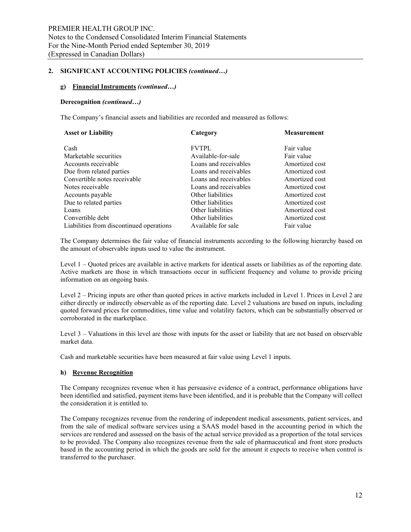#### **g) Financial Instruments** *(continued…)*

#### **Derecognition** *(continued…)*

The Company's financial assets and liabilities are recorded and measured as follows:

| <b>Asset or Liability</b>                | Category              | <b>Measurement</b> |
|------------------------------------------|-----------------------|--------------------|
| Cash                                     | <b>FVTPL</b>          | Fair value         |
| Marketable securities                    | Available-for-sale    | Fair value         |
| Accounts receivable                      | Loans and receivables | Amortized cost     |
| Due from related parties                 | Loans and receivables | Amortized cost     |
| Convertible notes receivable             | Loans and receivables | Amortized cost     |
| Notes receivable                         | Loans and receivables | Amortized cost     |
| Accounts payable                         | Other liabilities     | Amortized cost     |
| Due to related parties                   | Other liabilities     | Amortized cost     |
| Loans                                    | Other liabilities     | Amortized cost     |
| Convertible debt                         | Other liabilities     | Amortized cost     |
| Liabilities from discontinued operations | Available for sale    | Fair value         |

The Company determines the fair value of financial instruments according to the following hierarchy based on the amount of observable inputs used to value the instrument.

Level 1 – Quoted prices are available in active markets for identical assets or liabilities as of the reporting date. Active markets are those in which transactions occur in sufficient frequency and volume to provide pricing information on an ongoing basis.

Level 2 – Pricing inputs are other than quoted prices in active markets included in Level 1. Prices in Level 2 are either directly or indirectly observable as of the reporting date. Level 2 valuations are based on inputs, including quoted forward prices for commodities, time value and volatility factors, which can be substantially observed or corroborated in the marketplace.

Level 3 – Valuations in this level are those with inputs for the asset or liability that are not based on observable market data.

Cash and marketable securities have been measured at fair value using Level 1 inputs.

#### **h) Revenue Recognition**

The Company recognizes revenue when it has persuasive evidence of a contract, performance obligations have been identified and satisfied, payment items have been identified, and it is probable that the Company will collect the consideration it is entitled to.

The Company recognizes revenue from the rendering of independent medical assessments, patient services, and from the sale of medical software services using a SAAS model based in the accounting period in which the services are rendered and assessed on the basis of the actual service provided as a proportion of the total services to be provided. The Company also recognizes revenue from the sale of pharmaceutical and front store products based in the accounting period in which the goods are sold for the amount it expects to receive when control is transferred to the purchaser.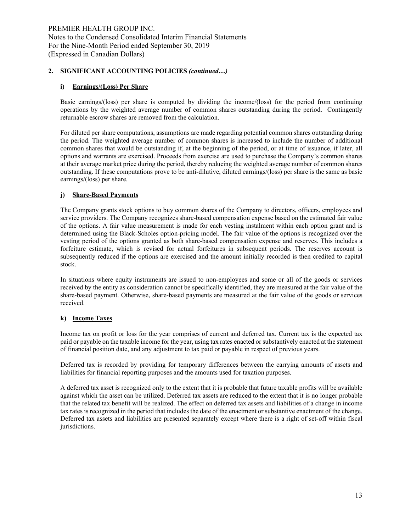## **i) Earnings/(Loss) Per Share**

Basic earnings/(loss) per share is computed by dividing the income/(loss) for the period from continuing operations by the weighted average number of common shares outstanding during the period. Contingently returnable escrow shares are removed from the calculation.

For diluted per share computations, assumptions are made regarding potential common shares outstanding during the period. The weighted average number of common shares is increased to include the number of additional common shares that would be outstanding if, at the beginning of the period, or at time of issuance, if later, all options and warrants are exercised. Proceeds from exercise are used to purchase the Company's common shares at their average market price during the period, thereby reducing the weighted average number of common shares outstanding. If these computations prove to be anti-dilutive, diluted earnings/(loss) per share is the same as basic earnings/(loss) per share.

## **j) Share-Based Payments**

The Company grants stock options to buy common shares of the Company to directors, officers, employees and service providers. The Company recognizes share-based compensation expense based on the estimated fair value of the options. A fair value measurement is made for each vesting instalment within each option grant and is determined using the Black-Scholes option-pricing model. The fair value of the options is recognized over the vesting period of the options granted as both share-based compensation expense and reserves. This includes a forfeiture estimate, which is revised for actual forfeitures in subsequent periods. The reserves account is subsequently reduced if the options are exercised and the amount initially recorded is then credited to capital stock.

In situations where equity instruments are issued to non-employees and some or all of the goods or services received by the entity as consideration cannot be specifically identified, they are measured at the fair value of the share-based payment. Otherwise, share-based payments are measured at the fair value of the goods or services received.

#### **k) Income Taxes**

Income tax on profit or loss for the year comprises of current and deferred tax. Current tax is the expected tax paid or payable on the taxable income for the year, using tax rates enacted or substantively enacted at the statement of financial position date, and any adjustment to tax paid or payable in respect of previous years.

Deferred tax is recorded by providing for temporary differences between the carrying amounts of assets and liabilities for financial reporting purposes and the amounts used for taxation purposes.

A deferred tax asset is recognized only to the extent that it is probable that future taxable profits will be available against which the asset can be utilized. Deferred tax assets are reduced to the extent that it is no longer probable that the related tax benefit will be realized. The effect on deferred tax assets and liabilities of a change in income tax rates is recognized in the period that includes the date of the enactment or substantive enactment of the change. Deferred tax assets and liabilities are presented separately except where there is a right of set-off within fiscal jurisdictions.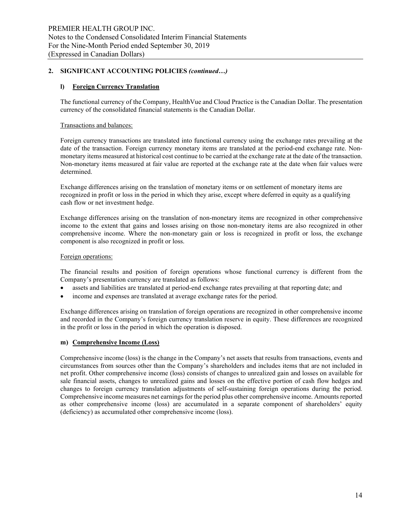## **l) Foreign Currency Translation**

The functional currency of the Company, HealthVue and Cloud Practice is the Canadian Dollar. The presentation currency of the consolidated financial statements is the Canadian Dollar.

#### Transactions and balances:

Foreign currency transactions are translated into functional currency using the exchange rates prevailing at the date of the transaction. Foreign currency monetary items are translated at the period-end exchange rate. Nonmonetary items measured at historical cost continue to be carried at the exchange rate at the date of the transaction. Non-monetary items measured at fair value are reported at the exchange rate at the date when fair values were determined.

Exchange differences arising on the translation of monetary items or on settlement of monetary items are recognized in profit or loss in the period in which they arise, except where deferred in equity as a qualifying cash flow or net investment hedge.

Exchange differences arising on the translation of non-monetary items are recognized in other comprehensive income to the extent that gains and losses arising on those non-monetary items are also recognized in other comprehensive income. Where the non-monetary gain or loss is recognized in profit or loss, the exchange component is also recognized in profit or loss.

#### Foreign operations:

The financial results and position of foreign operations whose functional currency is different from the Company's presentation currency are translated as follows:

- assets and liabilities are translated at period-end exchange rates prevailing at that reporting date; and
- income and expenses are translated at average exchange rates for the period.

Exchange differences arising on translation of foreign operations are recognized in other comprehensive income and recorded in the Company's foreign currency translation reserve in equity. These differences are recognized in the profit or loss in the period in which the operation is disposed.

#### **m) Comprehensive Income (Loss)**

Comprehensive income (loss) is the change in the Company's net assets that results from transactions, events and circumstances from sources other than the Company's shareholders and includes items that are not included in net profit. Other comprehensive income (loss) consists of changes to unrealized gain and losses on available for sale financial assets, changes to unrealized gains and losses on the effective portion of cash flow hedges and changes to foreign currency translation adjustments of self-sustaining foreign operations during the period. Comprehensive income measures net earnings for the period plus other comprehensive income. Amounts reported as other comprehensive income (loss) are accumulated in a separate component of shareholders' equity (deficiency) as accumulated other comprehensive income (loss).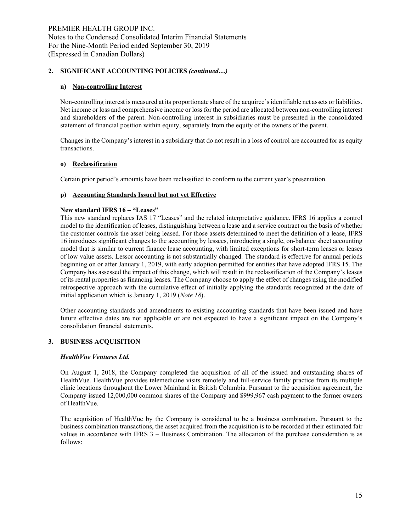## **n) Non-controlling Interest**

Non-controlling interest is measured at its proportionate share of the acquiree's identifiable net assets or liabilities. Net income or loss and comprehensive income or loss for the period are allocated between non-controlling interest and shareholders of the parent. Non-controlling interest in subsidiaries must be presented in the consolidated statement of financial position within equity, separately from the equity of the owners of the parent.

Changes in the Company's interest in a subsidiary that do not result in a loss of control are accounted for as equity transactions.

## **o) Reclassification**

Certain prior period's amounts have been reclassified to conform to the current year's presentation.

## **p) Accounting Standards Issued but not yet Effective**

## **New standard IFRS 16 – "Leases"**

This new standard replaces IAS 17 "Leases" and the related interpretative guidance. IFRS 16 applies a control model to the identification of leases, distinguishing between a lease and a service contract on the basis of whether the customer controls the asset being leased. For those assets determined to meet the definition of a lease, IFRS 16 introduces significant changes to the accounting by lessees, introducing a single, on-balance sheet accounting model that is similar to current finance lease accounting, with limited exceptions for short-term leases or leases of low value assets. Lessor accounting is not substantially changed. The standard is effective for annual periods beginning on or after January 1, 2019, with early adoption permitted for entities that have adopted IFRS 15. The Company has assessed the impact of this change, which will result in the reclassification of the Company's leases of its rental properties as financing leases. The Company choose to apply the effect of changes using the modified retrospective approach with the cumulative effect of initially applying the standards recognized at the date of initial application which is January 1, 2019 (*Note 18*).

Other accounting standards and amendments to existing accounting standards that have been issued and have future effective dates are not applicable or are not expected to have a significant impact on the Company's consolidation financial statements.

## **3. BUSINESS ACQUISITION**

#### *HealthVue Ventures Ltd.*

On August 1, 2018, the Company completed the acquisition of all of the issued and outstanding shares of HealthVue. HealthVue provides telemedicine visits remotely and full-service family practice from its multiple clinic locations throughout the Lower Mainland in British Columbia. Pursuant to the acquisition agreement, the Company issued 12,000,000 common shares of the Company and \$999,967 cash payment to the former owners of HealthVue.

The acquisition of HealthVue by the Company is considered to be a business combination. Pursuant to the business combination transactions, the asset acquired from the acquisition is to be recorded at their estimated fair values in accordance with IFRS 3 – Business Combination. The allocation of the purchase consideration is as follows: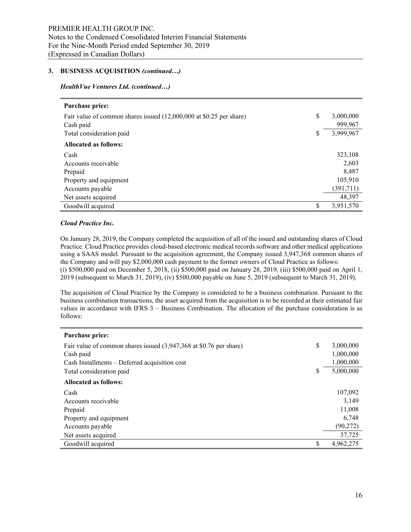#### **3. BUSINESS ACQUISITION** *(continued…)*

#### *HealthVue Ventures Ltd. (continued…)*

| <b>Purchase price:</b>                                              |                 |
|---------------------------------------------------------------------|-----------------|
| Fair value of common shares issued (12,000,000 at \$0.25 per share) | \$<br>3,000,000 |
| Cash paid                                                           | 999,967         |
| Total consideration paid                                            | \$<br>3,999,967 |
| <b>Allocated as follows:</b>                                        |                 |
| Cash                                                                | 323,108         |
| Accounts receivable                                                 | 2,603           |
| Prepaid                                                             | 8.487           |
| Property and equipment                                              | 105,910         |
| Accounts payable                                                    | (391, 711)      |
| Net assets acquired                                                 | 48,397          |
| Goodwill acquired                                                   | \$<br>3,951,570 |

#### *Cloud Practice Inc.*

On January 28, 2019, the Company completed the acquisition of all of the issued and outstanding shares of Cloud Practice. Cloud Practice provides cloud-based electronic medical records software and other medical applications using a SAAS model. Pursuant to the acquisition agreement, the Company issued 3,947,368 common shares of the Company and will pay \$2,000,000 cash payment to the former owners of Cloud Practice as follows: (i) \$500,000 paid on December 5, 2018, (ii) \$500,000 paid on January 28, 2019, (iii) \$500,000 paid on April 1, 2019 (subsequent to March 31, 2019), (iv) \$500,000 payable on June 5, 2019 (subsequent to March 31, 2019).

The acquisition of Cloud Practice by the Company is considered to be a business combination. Pursuant to the business combination transactions, the asset acquired from the acquisition is to be recorded at their estimated fair values in accordance with IFRS 3 – Business Combination. The allocation of the purchase consideration is as follows:

| <b>Purchase price:</b>                                             |    |           |
|--------------------------------------------------------------------|----|-----------|
| Fair value of common shares issued (3,947,368 at \$0.76 per share) | \$ | 3,000,000 |
| Cash paid                                                          |    | 1,000,000 |
| Cash Installments – Deferred acquisition cost                      |    | 1,000,000 |
| Total consideration paid                                           | S  | 5,000,000 |
| <b>Allocated as follows:</b>                                       |    |           |
| Cash                                                               |    | 107,092   |
| Accounts receivable                                                |    | 3,149     |
| Prepaid                                                            |    | 11,008    |
| Property and equipment                                             |    | 6,748     |
| Accounts payable                                                   |    | (90, 272) |
| Net assets acquired                                                |    | 37,725    |
| Goodwill acquired                                                  | S  | 4,962,275 |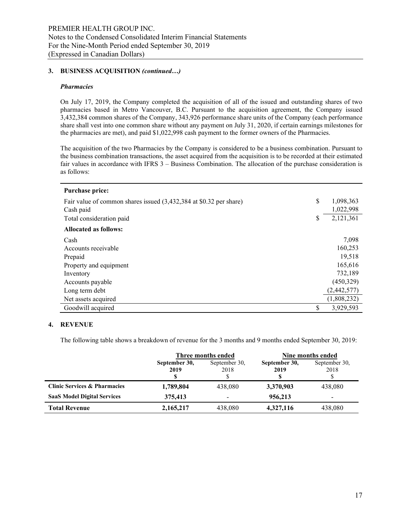#### **3. BUSINESS ACQUISITION** *(continued…)*

#### *Pharmacies*

On July 17, 2019, the Company completed the acquisition of all of the issued and outstanding shares of two pharmacies based in Metro Vancouver, B.C. Pursuant to the acquisition agreement, the Company issued 3,432,384 common shares of the Company, 343,926 performance share units of the Company (each performance share shall vest into one common share without any payment on July 31, 2020, if certain earnings milestones for the pharmacies are met), and paid \$1,022,998 cash payment to the former owners of the Pharmacies.

The acquisition of the two Pharmacies by the Company is considered to be a business combination. Pursuant to the business combination transactions, the asset acquired from the acquisition is to be recorded at their estimated fair values in accordance with IFRS 3 – Business Combination. The allocation of the purchase consideration is as follows:

| Purchase price:                                                    |                 |
|--------------------------------------------------------------------|-----------------|
| Fair value of common shares issued (3,432,384 at \$0.32 per share) | \$<br>1,098,363 |
| Cash paid                                                          | 1,022,998       |
| Total consideration paid                                           | \$<br>2,121,361 |
| <b>Allocated as follows:</b>                                       |                 |
| Cash                                                               | 7,098           |
| Accounts receivable                                                | 160,253         |
| Prepaid                                                            | 19,518          |
| Property and equipment                                             | 165,616         |
| Inventory                                                          | 732,189         |
| Accounts payable                                                   | (450, 329)      |
| Long term debt                                                     | (2,442,577)     |
| Net assets acquired                                                | (1,808,232)     |
| Goodwill acquired                                                  | \$<br>3,929,593 |

#### **4. REVENUE**

The following table shows a breakdown of revenue for the 3 months and 9 months ended September 30, 2019:

|                                         |                       | Three months ended       | Nine months ended     |                              |  |  |  |  |
|-----------------------------------------|-----------------------|--------------------------|-----------------------|------------------------------|--|--|--|--|
|                                         | September 30,<br>2019 | September 30,<br>2018    | September 30,<br>2019 | September 30,<br>2018        |  |  |  |  |
| <b>Clinic Services &amp; Pharmacies</b> | 1,789,804             | 438,080                  | 3,370,903             | 438,080                      |  |  |  |  |
| <b>SaaS Model Digital Services</b>      | 375,413               | $\overline{\phantom{a}}$ | 956,213               | $\qquad \qquad \blacksquare$ |  |  |  |  |
| <b>Total Revenue</b>                    | 2,165,217             | 438,080                  | 4,327,116             | 438,080                      |  |  |  |  |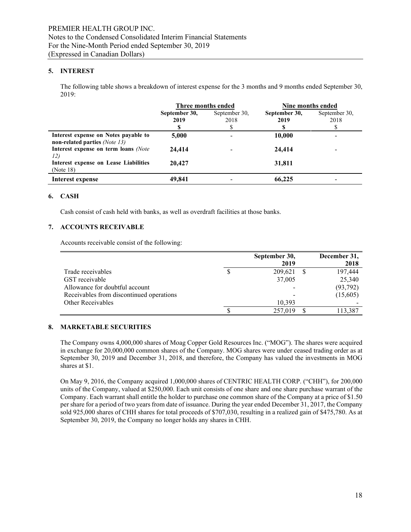## **5. INTEREST**

The following table shows a breakdown of interest expense for the 3 months and 9 months ended September 30, 2019:

|                                                                       | Three months ended |               | Nine months ended |                          |  |  |
|-----------------------------------------------------------------------|--------------------|---------------|-------------------|--------------------------|--|--|
|                                                                       | September 30,      | September 30, | September 30,     | September 30,            |  |  |
|                                                                       | 2019               | 2018          | 2019              | 2018                     |  |  |
|                                                                       |                    |               |                   |                          |  |  |
| Interest expense on Notes payable to<br>non-related parties (Note 13) | 5,000              |               | 10,000            | $\overline{\phantom{a}}$ |  |  |
| Interest expense on term loans (Note<br>12)                           | 24,414             |               | 24,414            | $\overline{\phantom{0}}$ |  |  |
| Interest expense on Lease Liabilities<br>(Note 18)                    | 20,427             |               | 31,811            |                          |  |  |
| Interest expense                                                      | 49.841             |               | 66,225            |                          |  |  |

#### **6. CASH**

Cash consist of cash held with banks, as well as overdraft facilities at those banks.

#### **7. ACCOUNTS RECEIVABLE**

Accounts receivable consist of the following:

|                                          | September 30, | December 31, |
|------------------------------------------|---------------|--------------|
|                                          | 2019          | 2018         |
| Trade receivables                        | 209,621       | 197,444      |
| GST receivable                           | 37,005        | 25,340       |
| Allowance for doubtful account           |               | (93, 792)    |
| Receivables from discontinued operations |               | (15,605)     |
| Other Receivables                        | 10.393        |              |
|                                          | 257,019       | 113.387      |

#### **8. MARKETABLE SECURITIES**

The Company owns 4,000,000 shares of Moag Copper Gold Resources Inc. ("MOG"). The shares were acquired in exchange for 20,000,000 common shares of the Company. MOG shares were under ceased trading order as at September 30, 2019 and December 31, 2018, and therefore, the Company has valued the investments in MOG shares at \$1.

On May 9, 2016, the Company acquired 1,000,000 shares of CENTRIC HEALTH CORP. ("CHH"), for 200,000 units of the Company, valued at \$250,000. Each unit consists of one share and one share purchase warrant of the Company. Each warrant shall entitle the holder to purchase one common share of the Company at a price of \$1.50 per share for a period of two years from date of issuance. During the year ended December 31, 2017, the Company sold 925,000 shares of CHH shares for total proceeds of \$707,030, resulting in a realized gain of \$475,780. As at September 30, 2019, the Company no longer holds any shares in CHH.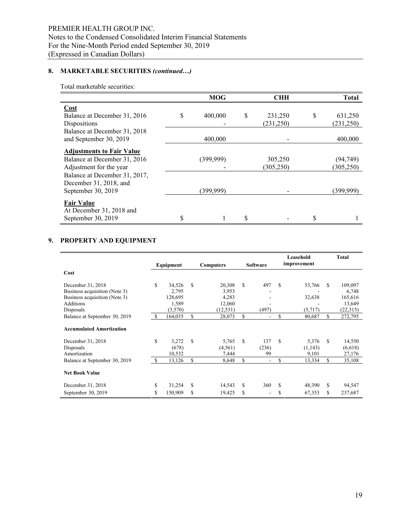# **8. MARKETABLE SECURITIES** *(continued…)*

Total marketable securities:

|                                  |   | <b>MOG</b> | <b>CHH</b>    |   | <b>Total</b> |
|----------------------------------|---|------------|---------------|---|--------------|
| Cost                             |   |            |               |   |              |
| Balance at December 31, 2016     | S | 400,000    | \$<br>231,250 | S | 631,250      |
| Dispositions                     |   |            | (231, 250)    |   | (231,250)    |
| Balance at December 31, 2018     |   |            |               |   |              |
| and September 30, 2019           |   | 400,000    |               |   | 400,000      |
| <b>Adjustments to Fair Value</b> |   |            |               |   |              |
| Balance at December 31, 2016     |   | (399,999)  | 305,250       |   | (94, 749)    |
| Adjustment for the year          |   |            | (305, 250)    |   | (305, 250)   |
| Balance at December 31, 2017,    |   |            |               |   |              |
| December 31, 2018, and           |   |            |               |   |              |
| September 30, 2019               |   | (399,999)  |               |   | (399,999)    |
| <b>Fair Value</b>                |   |            |               |   |              |
| At December 31, 2018 and         |   |            |               |   |              |
| September 30, 2019               |   |            |               |   |              |

## **9. PROPERTY AND EQUIPMENT**

|                                 |               | Equipment |    | <b>Computers</b> |    | <b>Software</b> |    | Leasehold<br>improvement |    | Total    |
|---------------------------------|---------------|-----------|----|------------------|----|-----------------|----|--------------------------|----|----------|
| Cost                            |               |           |    |                  |    |                 |    |                          |    |          |
| December 31, 2018               | \$.           | 34,526    | S  | 20,308           | S  | 497             | S  | 53,766                   | S  | 109,097  |
| Business acquisition (Note 3)   |               | 2,795     |    | 3,953            |    |                 |    |                          |    | 6,748    |
| Business acquisition (Note 3)   |               | 128,695   |    | 4,283            |    |                 |    | 32,638                   |    | 165,616  |
| <b>Additions</b>                |               | 1,589     |    | 12,060           |    |                 |    |                          |    | 13,649   |
| Disposals                       |               | (3,570)   |    | (12, 531)        |    | (497)           |    | (5,717)                  |    | (22,315) |
| Balance at September 30, 2019   | <sup>\$</sup> | 164,035   | \$ | 28,073           | \$ | ÷,              | \$ | 80,687                   | \$ | 272,795  |
| <b>Accumulated Amortization</b> |               |           |    |                  |    |                 |    |                          |    |          |
| December 31, 2018               | S             | 3,272     | S  | 5.765            | \$ | 137             | S  | 5.376                    | \$ | 14,550   |
| Disposals                       |               | (678)     |    | (4, 561)         |    | (236)           |    | (1,143)                  |    | (6,618)  |
| Amortization                    |               | 10,532    |    | 7,444            |    | 99              |    | 9,101                    |    | 27,176   |
| Balance at September 30, 2019   | - \$          | 13,126    | \$ | 8,648            | \$ | ۰               | S  | 13,334                   | \$ | 35,108   |
| <b>Net Book Value</b>           |               |           |    |                  |    |                 |    |                          |    |          |
| December 31, 2018               | S             | 31,254    | S  | 14,543           | \$ | 360             | S  | 48,390                   | S  | 94,547   |
| September 30, 2019              | S             | 150,909   | \$ | 19,425           | S  |                 | S  | 67,353                   | \$ | 237,687  |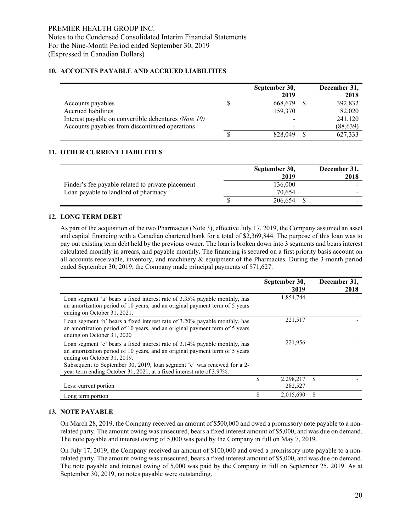#### **10. ACCOUNTS PAYABLE AND ACCRUED LIABILITIES**

|                                                             | September 30, | December 31, |
|-------------------------------------------------------------|---------------|--------------|
|                                                             | 2019          | 2018         |
| Accounts payables                                           | 668,679       | 392,832      |
| Accrued liabilities                                         | 159,370       | 82,020       |
| Interest payable on convertible debentures <i>(Note 10)</i> |               | 241,120      |
| Accounts payables from discontinued operations              |               | (88, 639)    |
|                                                             | 828,049       | 627,333      |

#### **11. OTHER CURRENT LIABILITIES**

|                                                   | September 30,<br>2019 | December 31,<br>2018 |
|---------------------------------------------------|-----------------------|----------------------|
| Finder's fee payable related to private placement | 136.000               |                      |
| Loan payable to landlord of pharmacy              | 70.654                |                      |
|                                                   | 206,654               |                      |

#### **12. LONG TERM DEBT**

As part of the acquisition of the two Pharmacies (Note 3), effective July 17, 2019, the Company assumed an asset and capital financing with a Canadian chartered bank for a total of \$2,369,844. The purpose of this loan was to pay out existing term debt held by the previous owner. The loan is broken down into 3 segments and bears interest calculated monthly in arrears, and payable monthly. The financing is secured on a first priority basis account on all accounts receivable, inventory, and machinery & equipment of the Pharmacies. During the 3-month period ended September 30, 2019, the Company made principal payments of \$71,627.

|                                                                                                                                                                                          | September 30, | December 31, |
|------------------------------------------------------------------------------------------------------------------------------------------------------------------------------------------|---------------|--------------|
|                                                                                                                                                                                          | 2019          | 2018         |
| Loan segment 'a' bears a fixed interest rate of 3.35% payable monthly, has<br>an amortization period of 10 years, and an original payment term of 5 years<br>ending on October 31, 2021. | 1,854,744     |              |
| Loan segment 'b' bears a fixed interest rate of 3.20% payable monthly, has<br>an amortization period of 10 years, and an original payment term of 5 years<br>ending on October 31, 2020  | 221,517       |              |
| Loan segment 'c' bears a fixed interest rate of 3.14% payable monthly, has<br>an amortization period of 10 years, and an original payment term of 5 years<br>ending on October 31, 2019. | 221,956       |              |
| Subsequent to September 30, 2019, loan segment 'c' was renewed for a 2-<br>year term ending October 31, 2021, at a fixed interest rate of 3.97%.                                         |               |              |
|                                                                                                                                                                                          | 2,298,217     | \$.          |
| Less: current portion                                                                                                                                                                    | 282,527       |              |
| Long term portion                                                                                                                                                                        | 2,015,690     |              |

#### **13. NOTE PAYABLE**

On March 28, 2019, the Company received an amount of \$500,000 and owed a promissory note payable to a nonrelated party. The amount owing was unsecured, bears a fixed interest amount of \$5,000, and was due on demand. The note payable and interest owing of 5,000 was paid by the Company in full on May 7, 2019.

On July 17, 2019, the Company received an amount of \$100,000 and owed a promissory note payable to a nonrelated party. The amount owing was unsecured, bears a fixed interest amount of \$5,000, and was due on demand. The note payable and interest owing of 5,000 was paid by the Company in full on September 25, 2019. As at September 30, 2019, no notes payable were outstanding.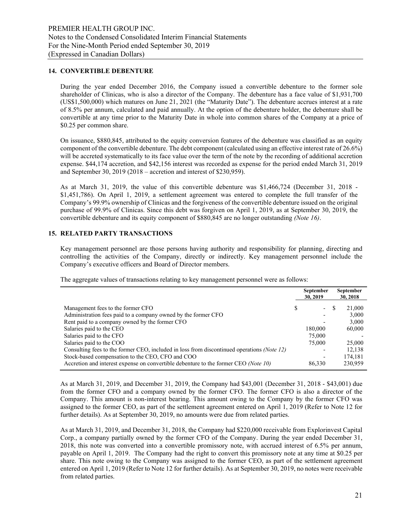#### **14. CONVERTIBLE DEBENTURE**

During the year ended December 2016, the Company issued a convertible debenture to the former sole shareholder of Clinicas, who is also a director of the Company. The debenture has a face value of \$1,931,700 (US\$1,500,000) which matures on June 21, 2021 (the "Maturity Date"). The debenture accrues interest at a rate of 8.5% per annum, calculated and paid annually. At the option of the debenture holder, the debenture shall be convertible at any time prior to the Maturity Date in whole into common shares of the Company at a price of \$0.25 per common share.

On issuance, \$880,845, attributed to the equity conversion features of the debenture was classified as an equity component of the convertible debenture. The debt component (calculated using an effective interest rate of 26.6%) will be accreted systematically to its face value over the term of the note by the recording of additional accretion expense. \$44,174 accretion, and \$42,156 interest was recorded as expense for the period ended March 31, 2019 and September 30, 2019 (2018 – accretion and interest of \$230,959).

As at March 31, 2019, the value of this convertible debenture was \$1,466,724 (December 31, 2018 - \$1,451,786). On April 1, 2019, a settlement agreement was entered to complete the full transfer of the Company's 99.9% ownership of Clinicas and the forgiveness of the convertible debenture issued on the original purchase of 99.9% of Clinicas. Since this debt was forgiven on April 1, 2019, as at September 30, 2019, the convertible debenture and its equity component of \$880,845 are no longer outstanding *(Note 16)*.

#### **15. RELATED PARTY TRANSACTIONS**

Key management personnel are those persons having authority and responsibility for planning, directing and controlling the activities of the Company, directly or indirectly. Key management personnel include the Company's executive officers and Board of Director members.

The aggregate values of transactions relating to key management personnel were as follows:

|                                                                                                                        | <b>September</b><br>30, 2019   | September<br>30, 2018 |
|------------------------------------------------------------------------------------------------------------------------|--------------------------------|-----------------------|
| Management fees to the former CFO                                                                                      | \$<br>$\overline{\phantom{0}}$ | 21,000                |
| Administration fees paid to a company owned by the former CFO<br>Rent paid to a company owned by the former CFO        | ٠                              | 3,000<br>3,000        |
| Salaries paid to the CEO<br>Salaries paid to the CFO                                                                   | 180,000<br>75,000              | 60,000                |
| Salaries paid to the COO<br>Consulting fees to the former CEO, included in loss from discontinued operations (Note 12) | 75,000                         | 25,000<br>12,138      |
| Stock-based compensation to the CEO, CFO and COO                                                                       | $\overline{\phantom{0}}$       | 174,181               |
| Accretion and interest expense on convertible debenture to the former CEO (Note 10)                                    | 86.330                         | 230,959               |

As at March 31, 2019, and December 31, 2019, the Company had \$43,001 (December 31, 2018 - \$43,001) due from the former CFO and a company owned by the former CFO. The former CFO is also a director of the Company. This amount is non-interest bearing. This amount owing to the Company by the former CFO was assigned to the former CEO, as part of the settlement agreement entered on April 1, 2019 (Refer to Note 12 for further details). As at September 30, 2019, no amounts were due from related parties.

As at March 31, 2019, and December 31, 2018, the Company had \$220,000 receivable from Explorinvest Capital Corp., a company partially owned by the former CFO of the Company. During the year ended December 31, 2018, this note was converted into a convertible promissory note, with accrued interest of 6.5% per annum, payable on April 1, 2019. The Company had the right to convert this promissory note at any time at \$0.25 per share. This note owing to the Company was assigned to the former CEO, as part of the settlement agreement entered on April 1, 2019 (Refer to Note 12 for further details). As at September 30, 2019, no notes were receivable from related parties.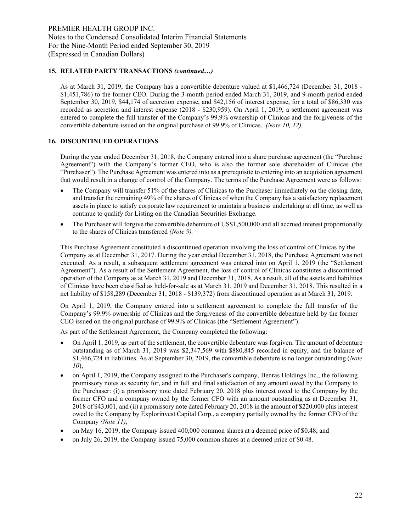## **15. RELATED PARTY TRANSACTIONS** *(continued…)*

As at March 31, 2019, the Company has a convertible debenture valued at \$1,466,724 (December 31, 2018 - \$1,451,786) to the former CEO. During the 3-month period ended March 31, 2019, and 9-month period ended September 30, 2019, \$44,174 of accretion expense, and \$42,156 of interest expense, for a total of \$86,330 was recorded as accretion and interest expense (2018 - \$230,959). On April 1, 2019, a settlement agreement was entered to complete the full transfer of the Company's 99.9% ownership of Clinicas and the forgiveness of the convertible debenture issued on the original purchase of 99.9% of Clinicas. *(Note 10, 12)*.

#### **16. DISCONTINUED OPERATIONS**

During the year ended December 31, 2018, the Company entered into a share purchase agreement (the "Purchase Agreement") with the Company's former CEO, who is also the former sole shareholder of Clinicas (the "Purchaser"). The Purchase Agreement was entered into as a prerequisite to entering into an acquisition agreement that would result in a change of control of the Company. The terms of the Purchase Agreement were as follows:

- The Company will transfer 51% of the shares of Clinicas to the Purchaser immediately on the closing date, and transfer the remaining 49% of the shares of Clinicas of when the Company has a satisfactory replacement assets in place to satisfy corporate law requirement to maintain a business undertaking at all time, as well as continue to qualify for Listing on the Canadian Securities Exchange.
- The Purchaser will forgive the convertible debenture of US\$1,500,000 and all accrued interest proportionally to the shares of Clinicas transferred *(Note 9).*

This Purchase Agreement constituted a discontinued operation involving the loss of control of Clinicas by the Company as at December 31, 2017. During the year ended December 31, 2018, the Purchase Agreement was not executed. As a result, a subsequent settlement agreement was entered into on April 1, 2019 (the "Settlement Agreement"). As a result of the Settlement Agreement, the loss of control of Clinicas constitutes a discontinued operation of the Company as at March 31, 2019 and December 31, 2018. As a result, all of the assets and liabilities of Clinicas have been classified as held-for-sale as at March 31, 2019 and December 31, 2018. This resulted in a net liability of \$158,289 (December 31, 2018 - \$139,372) from discontinued operation as at March 31, 2019.

On April 1, 2019, the Company entered into a settlement agreement to complete the full transfer of the Company's 99.9% ownership of Clinicas and the forgiveness of the convertible debenture held by the former CEO issued on the original purchase of 99.9% of Clinicas (the "Settlement Agreement").

As part of the Settlement Agreement, the Company completed the following:

- On April 1, 2019, as part of the settlement, the convertible debenture was forgiven. The amount of debenture outstanding as of March 31, 2019 was \$2,347,569 with \$880,845 recorded in equity, and the balance of \$1,466,724 in liabilities. As at September 30, 2019, the convertible debenture is no longer outstanding (*Note 10*),
- on April 1, 2019, the Company assigned to the Purchaser's company, Benras Holdings Inc., the following promissory notes as security for, and in full and final satisfaction of any amount owed by the Company to the Purchaser: (i) a promissory note dated February 20, 2018 plus interest owed to the Company by the former CFO and a company owned by the former CFO with an amount outstanding as at December 31, 2018 of \$43,001, and (ii) a promissory note dated February 20, 2018 in the amount of \$220,000 plus interest owed to the Company by Explorinvest Capital Corp., a company partially owned by the former CFO of the Company *(Note 11)*,
- on May 16, 2019, the Company issued 400,000 common shares at a deemed price of \$0.48, and
- on July 26, 2019, the Company issued 75,000 common shares at a deemed price of \$0.48.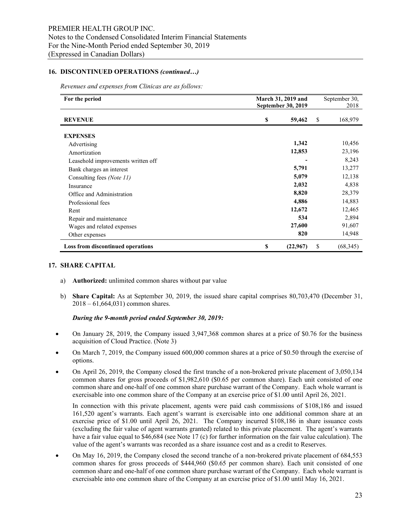#### **16. DISCONTINUED OPERATIONS** *(continued…)*

*Revenues and expenses from Clinicas are as follows:*

| For the period                           | March 31, 2019 and        |          | September 30, |           |
|------------------------------------------|---------------------------|----------|---------------|-----------|
|                                          | <b>September 30, 2019</b> | 2018     |               |           |
| <b>REVENUE</b>                           | \$                        | 59,462   | \$            | 168,979   |
| <b>EXPENSES</b>                          |                           |          |               |           |
| Advertising                              |                           | 1,342    |               | 10,456    |
| Amortization                             |                           | 12,853   |               | 23,196    |
| Leasehold improvements written off       |                           |          |               | 8,243     |
| Bank charges an interest                 |                           | 5,791    |               | 13,277    |
| Consulting fees (Note 11)                |                           | 5,079    |               | 12,138    |
| Insurance                                |                           | 2,032    |               | 4,838     |
| Office and Administration                |                           | 8,820    |               | 28,379    |
| Professional fees                        |                           | 4,886    |               | 14,883    |
| Rent                                     |                           | 12,672   |               | 12,465    |
| Repair and maintenance                   |                           | 534      |               | 2,894     |
| Wages and related expenses               |                           | 27,600   |               | 91,607    |
| Other expenses                           |                           | 820      |               | 14,948    |
| <b>Loss from discontinued operations</b> | \$                        | (22,967) | \$            | (68, 345) |

#### **17. SHARE CAPITAL**

- a) **Authorized:** unlimited common shares without par value
- b) **Share Capital:** As at September 30, 2019, the issued share capital comprises 80,703,470 (December 31, 2018 – 61,664,031) common shares.

#### *During the 9-month period ended September 30, 2019:*

- On January 28, 2019, the Company issued 3,947,368 common shares at a price of \$0.76 for the business acquisition of Cloud Practice. (Note 3)
- On March 7, 2019, the Company issued 600,000 common shares at a price of \$0.50 through the exercise of options.
- On April 26, 2019, the Company closed the first tranche of a non-brokered private placement of 3,050,134 common shares for gross proceeds of \$1,982,610 (\$0.65 per common share). Each unit consisted of one common share and one-half of one common share purchase warrant of the Company. Each whole warrant is exercisable into one common share of the Company at an exercise price of \$1.00 until April 26, 2021.

In connection with this private placement, agents were paid cash commissions of \$108,186 and issued 161,520 agent's warrants. Each agent's warrant is exercisable into one additional common share at an exercise price of \$1.00 until April 26, 2021. The Company incurred \$108,186 in share issuance costs (excluding the fair value of agent warrants granted) related to this private placement. The agent's warrants have a fair value equal to \$46,684 (see Note 17 (c) for further information on the fair value calculation). The value of the agent's warrants was recorded as a share issuance cost and as a credit to Reserves.

• On May 16, 2019, the Company closed the second tranche of a non-brokered private placement of 684,553 common shares for gross proceeds of \$444,960 (\$0.65 per common share). Each unit consisted of one common share and one-half of one common share purchase warrant of the Company. Each whole warrant is exercisable into one common share of the Company at an exercise price of \$1.00 until May 16, 2021.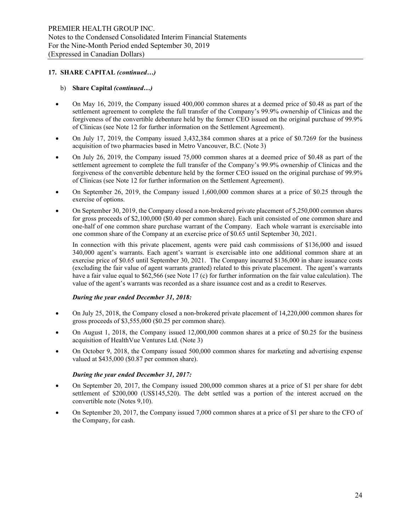#### b) **Share Capital** *(continued…)*

- On May 16, 2019, the Company issued 400,000 common shares at a deemed price of \$0.48 as part of the settlement agreement to complete the full transfer of the Company's 99.9% ownership of Clinicas and the forgiveness of the convertible debenture held by the former CEO issued on the original purchase of 99.9% of Clinicas (see Note 12 for further information on the Settlement Agreement).
- On July 17, 2019, the Company issued 3,432,384 common shares at a price of \$0.7269 for the business acquisition of two pharmacies based in Metro Vancouver, B.C. (Note 3)
- On July 26, 2019, the Company issued 75,000 common shares at a deemed price of \$0.48 as part of the settlement agreement to complete the full transfer of the Company's 99.9% ownership of Clinicas and the forgiveness of the convertible debenture held by the former CEO issued on the original purchase of 99.9% of Clinicas (see Note 12 for further information on the Settlement Agreement).
- On September 26, 2019, the Company issued 1,600,000 common shares at a price of \$0.25 through the exercise of options.
- On September 30, 2019, the Company closed a non-brokered private placement of 5,250,000 common shares for gross proceeds of \$2,100,000 (\$0.40 per common share). Each unit consisted of one common share and one-half of one common share purchase warrant of the Company. Each whole warrant is exercisable into one common share of the Company at an exercise price of \$0.65 until September 30, 2021.

In connection with this private placement, agents were paid cash commissions of \$136,000 and issued 340,000 agent's warrants. Each agent's warrant is exercisable into one additional common share at an exercise price of \$0.65 until September 30, 2021. The Company incurred \$136,000 in share issuance costs (excluding the fair value of agent warrants granted) related to this private placement. The agent's warrants have a fair value equal to \$62,566 (see Note 17 (c) for further information on the fair value calculation). The value of the agent's warrants was recorded as a share issuance cost and as a credit to Reserves.

#### *During the year ended December 31, 2018:*

- On July 25, 2018, the Company closed a non-brokered private placement of 14,220,000 common shares for gross proceeds of \$3,555,000 (\$0.25 per common share).
- On August 1, 2018, the Company issued 12,000,000 common shares at a price of \$0.25 for the business acquisition of HealthVue Ventures Ltd. (Note 3)
- On October 9, 2018, the Company issued 500,000 common shares for marketing and advertising expense valued at \$435,000 (\$0.87 per common share).

#### *During the year ended December 31, 2017:*

- On September 20, 2017, the Company issued 200,000 common shares at a price of \$1 per share for debt settlement of \$200,000 (US\$145,520). The debt settled was a portion of the interest accrued on the convertible note (Notes 9,10).
- On September 20, 2017, the Company issued 7,000 common shares at a price of \$1 per share to the CFO of the Company, for cash.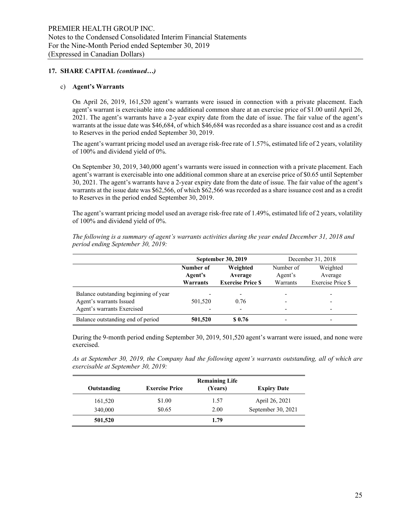#### c) **Agent's Warrants**

On April 26, 2019, 161,520 agent's warrants were issued in connection with a private placement. Each agent's warrant is exercisable into one additional common share at an exercise price of \$1.00 until April 26, 2021. The agent's warrants have a 2-year expiry date from the date of issue. The fair value of the agent's warrants at the issue date was \$46,684, of which \$46,684 was recorded as a share issuance cost and as a credit to Reserves in the period ended September 30, 2019.

The agent's warrant pricing model used an average risk-free rate of 1.57%, estimated life of 2 years, volatility of 100% and dividend yield of 0%.

On September 30, 2019, 340,000 agent's warrants were issued in connection with a private placement. Each agent's warrant is exercisable into one additional common share at an exercise price of \$0.65 until September 30, 2021. The agent's warrants have a 2-year expiry date from the date of issue. The fair value of the agent's warrants at the issue date was \$62,566, of which \$62,566 was recorded as a share issuance cost and as a credit to Reserves in the period ended September 30, 2019.

The agent's warrant pricing model used an average risk-free rate of 1.49%, estimated life of 2 years, volatility of 100% and dividend yield of 0%.

| period enaing September 30, 2019: |           |                           |           |                   |
|-----------------------------------|-----------|---------------------------|-----------|-------------------|
|                                   |           | <b>September 30, 2019</b> |           | December 31, 2018 |
|                                   | Number of | Weighted                  | Number of | Weighted          |
|                                   | Agent's   | Average                   | Agent's   | Average           |

**Warrants**

*The following is a summary of agent's warrants activities during the year ended December 31, 2018 and period ending September 30, 2019:*

| Balance outstanding beginning of year |         |        |  |
|---------------------------------------|---------|--------|--|
| Agent's warrants Issued               | 501.520 | 0.76   |  |
| Agent's warrants Exercised            |         |        |  |
| Balance outstanding end of period     | 501,520 | \$0.76 |  |
|                                       |         |        |  |

**Exercise Price \$**

Warrants

Exercise Price \$

During the 9-month period ending September 30, 2019, 501,520 agent's warrant were issued, and none were exercised.

*As at September 30, 2019, the Company had the following agent's warrants outstanding, all of which are exercisable at September 30, 2019:* 

|             |                       | <b>Remaining Life</b> |                    |
|-------------|-----------------------|-----------------------|--------------------|
| Outstanding | <b>Exercise Price</b> | (Years)               | <b>Expiry Date</b> |
| 161,520     | \$1.00                | 1.57                  | April 26, 2021     |
| 340,000     | \$0.65                | 2.00                  | September 30, 2021 |
| 501,520     |                       | 1.79                  |                    |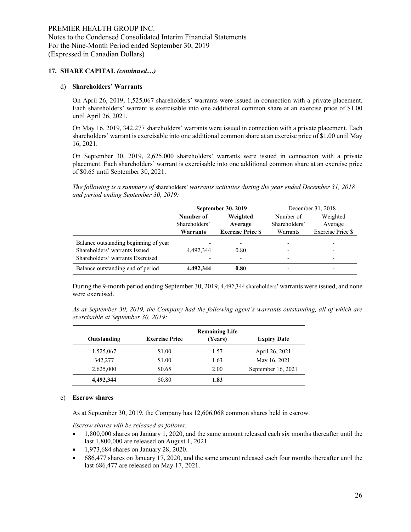#### d) **Shareholders' Warrants**

On April 26, 2019, 1,525,067 shareholders' warrants were issued in connection with a private placement. Each shareholders' warrant is exercisable into one additional common share at an exercise price of \$1.00 until April 26, 2021.

On May 16, 2019, 342,277 shareholders' warrants were issued in connection with a private placement. Each shareholders' warrant is exercisable into one additional common share at an exercise price of \$1.00 until May 16, 2021.

On September 30, 2019, 2,625,000 shareholders' warrants were issued in connection with a private placement. Each shareholders' warrant is exercisable into one additional common share at an exercise price of \$0.65 until September 30, 2021.

*The following is a summary of* shareholders' *warrants activities during the year ended December 31, 2018 and period ending September 30, 2019:*

|                                       |               | September 30, 2019       | December 31, 2018 |                          |  |
|---------------------------------------|---------------|--------------------------|-------------------|--------------------------|--|
|                                       | Number of     | Weighted                 | Number of         | Weighted                 |  |
|                                       | Shareholders' | Average                  | Shareholders'     | Average                  |  |
|                                       | Warrants      | <b>Exercise Price \$</b> | Warrants          | Exercise Price \$        |  |
| Balance outstanding beginning of year |               |                          |                   |                          |  |
| Shareholders' warrants Issued         | 4.492.344     | 0.80                     |                   |                          |  |
| Shareholders' warrants Exercised      |               |                          |                   | $\overline{\phantom{0}}$ |  |
| Balance outstanding end of period     | 4.492.344     | 0.80                     |                   |                          |  |

During the 9-month period ending September 30, 2019, 4,492,344 shareholders' warrants were issued, and none were exercised.

| As at September 30, 2019, the Company had the following agent's warrants outstanding, all of which are |  |  |
|--------------------------------------------------------------------------------------------------------|--|--|
| exercisable at September 30, 2019:                                                                     |  |  |

|             |                       | <b>Remaining Life</b> |                    |
|-------------|-----------------------|-----------------------|--------------------|
| Outstanding | <b>Exercise Price</b> | (Years)               | <b>Expiry Date</b> |
| 1,525,067   | \$1.00                | 1.57                  | April 26, 2021     |
| 342,277     | \$1.00                | 1.63                  | May 16, 2021       |
| 2,625,000   | \$0.65                | 2.00                  | September 16, 2021 |
| 4.492.344   | \$0.80                | 1.83                  |                    |

#### e) **Escrow shares**

As at September 30, 2019, the Company has 12,606,068 common shares held in escrow.

*Escrow shares will be released as follows:*

- 1,800,000 shares on January 1, 2020, and the same amount released each six months thereafter until the last 1,800,000 are released on August 1, 2021.
- 1,973,684 shares on January 28, 2020.
- 686,477 shares on January 17, 2020, and the same amount released each four months thereafter until the last 686,477 are released on May 17, 2021.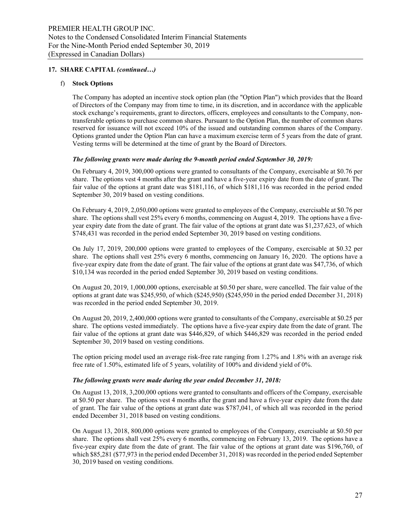#### f) **Stock Options**

The Company has adopted an incentive stock option plan (the "Option Plan") which provides that the Board of Directors of the Company may from time to time, in its discretion, and in accordance with the applicable stock exchange's requirements, grant to directors, officers, employees and consultants to the Company, nontransferable options to purchase common shares. Pursuant to the Option Plan, the number of common shares reserved for issuance will not exceed 10% of the issued and outstanding common shares of the Company. Options granted under the Option Plan can have a maximum exercise term of 5 years from the date of grant. Vesting terms will be determined at the time of grant by the Board of Directors.

#### *The following grants were made during the 9-month period ended September 30, 2019:*

On February 4, 2019, 300,000 options were granted to consultants of the Company, exercisable at \$0.76 per share. The options vest 4 months after the grant and have a five-year expiry date from the date of grant. The fair value of the options at grant date was \$181,116, of which \$181,116 was recorded in the period ended September 30, 2019 based on vesting conditions.

On February 4, 2019, 2,050,000 options were granted to employees of the Company, exercisable at \$0.76 per share. The options shall vest 25% every 6 months, commencing on August 4, 2019. The options have a fiveyear expiry date from the date of grant. The fair value of the options at grant date was \$1,237,623, of which \$748,431 was recorded in the period ended September 30, 2019 based on vesting conditions.

On July 17, 2019, 200,000 options were granted to employees of the Company, exercisable at \$0.32 per share. The options shall vest 25% every 6 months, commencing on January 16, 2020. The options have a five-year expiry date from the date of grant. The fair value of the options at grant date was \$47,736, of which \$10,134 was recorded in the period ended September 30, 2019 based on vesting conditions.

On August 20, 2019, 1,000,000 options, exercisable at \$0.50 per share, were cancelled. The fair value of the options at grant date was \$245,950, of which (\$245,950) (\$245,950 in the period ended December 31, 2018) was recorded in the period ended September 30, 2019.

On August 20, 2019, 2,400,000 options were granted to consultants of the Company, exercisable at \$0.25 per share. The options vested immediately. The options have a five-year expiry date from the date of grant. The fair value of the options at grant date was \$446,829, of which \$446,829 was recorded in the period ended September 30, 2019 based on vesting conditions.

The option pricing model used an average risk-free rate ranging from 1.27% and 1.8% with an average risk free rate of 1.50%, estimated life of 5 years, volatility of 100% and dividend yield of 0%.

#### *The following grants were made during the year ended December 31, 2018:*

On August 13, 2018, 3,200,000 options were granted to consultants and officers of the Company, exercisable at \$0.50 per share. The options vest 4 months after the grant and have a five-year expiry date from the date of grant. The fair value of the options at grant date was \$787,041, of which all was recorded in the period ended December 31, 2018 based on vesting conditions.

On August 13, 2018, 800,000 options were granted to employees of the Company, exercisable at \$0.50 per share. The options shall vest 25% every 6 months, commencing on February 13, 2019. The options have a five-year expiry date from the date of grant. The fair value of the options at grant date was \$196,760, of which \$85,281 (\$77,973 in the period ended December 31, 2018) was recorded in the period ended September 30, 2019 based on vesting conditions.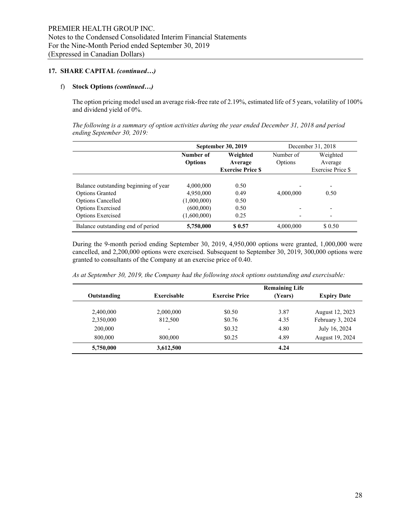## f) **Stock Options** *(continued…)*

The option pricing model used an average risk-free rate of 2.19%, estimated life of 5 years, volatility of 100% and dividend yield of 0%.

*The following is a summary of option activities during the year ended December 31, 2018 and period ending September 30, 2019:* 

|                                       |                | September 30, 2019      | December 31, 2018 |                          |  |
|---------------------------------------|----------------|-------------------------|-------------------|--------------------------|--|
|                                       | Number of      | Weighted                | Number of         | Weighted                 |  |
|                                       | <b>Options</b> | Average                 | Options           | Average                  |  |
|                                       |                | <b>Exercise Price S</b> |                   | Exercise Price \$        |  |
|                                       |                |                         |                   |                          |  |
| Balance outstanding beginning of year | 4,000,000      | 0.50                    |                   | $\overline{\phantom{0}}$ |  |
| <b>Options Granted</b>                | 4,950,000      | 0.49                    | 4,000,000         | 0.50                     |  |
| <b>Options Cancelled</b>              | (1,000,000)    | 0.50                    |                   |                          |  |
| <b>Options Exercised</b>              | (600,000)      | 0.50                    |                   | $\overline{\phantom{0}}$ |  |
| <b>Options Exercised</b>              | (1,600,000)    | 0.25                    |                   |                          |  |
| Balance outstanding end of period     | 5,750,000      | \$ 0.57                 | 4,000,000         | \$0.50                   |  |

During the 9-month period ending September 30, 2019, 4,950,000 options were granted, 1,000,000 were cancelled, and 2,200,000 options were exercised. Subsequent to September 30, 2019, 300,000 options were granted to consultants of the Company at an exercise price of 0.40.

|             |             |                       | <b>Remaining Life</b> |                    |
|-------------|-------------|-----------------------|-----------------------|--------------------|
| Outstanding | Exercisable | <b>Exercise Price</b> | (Years)               | <b>Expiry Date</b> |
| 2,400,000   | 2,000,000   | \$0.50                | 3.87                  | August 12, 2023    |
| 2,350,000   | 812,500     | \$0.76                | 4.35                  | February 3, 2024   |
| 200,000     |             | \$0.32                | 4.80                  | July 16, 2024      |
| 800,000     | 800,000     | \$0.25                | 4.89                  | August 19, 2024    |
| 5,750,000   | 3,612,500   |                       | 4.24                  |                    |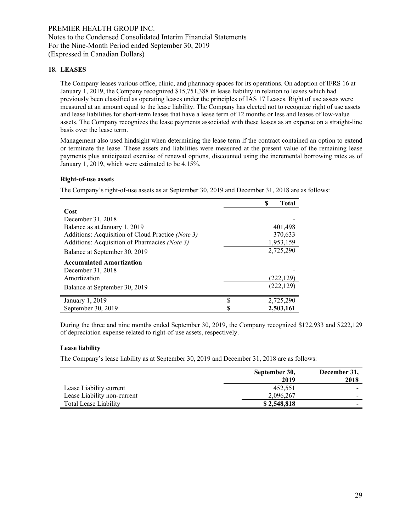## **18. LEASES**

The Company leases various office, clinic, and pharmacy spaces for its operations. On adoption of IFRS 16 at January 1, 2019, the Company recognized \$15,751,388 in lease liability in relation to leases which had previously been classified as operating leases under the principles of IAS 17 Leases. Right of use assets were measured at an amount equal to the lease liability. The Company has elected not to recognize right of use assets and lease liabilities for short-term leases that have a lease term of 12 months or less and leases of low-value assets. The Company recognizes the lease payments associated with these leases as an expense on a straight-line basis over the lease term.

Management also used hindsight when determining the lease term if the contract contained an option to extend or terminate the lease. These assets and liabilities were measured at the present value of the remaining lease payments plus anticipated exercise of renewal options, discounted using the incremental borrowing rates as of January 1, 2019, which were estimated to be 4.15%.

#### **Right-of-use assets**

The Company's right-of-use assets as at September 30, 2019 and December 31, 2018 are as follows:

|                                                   |   | S<br><b>Total</b> |
|---------------------------------------------------|---|-------------------|
| Cost                                              |   |                   |
| December 31, 2018                                 |   |                   |
| Balance as at January 1, 2019                     |   | 401,498           |
| Additions: Acquisition of Cloud Practice (Note 3) |   | 370,633           |
| Additions: Acquisition of Pharmacies (Note 3)     |   | 1,953,159         |
| Balance at September 30, 2019                     |   | 2,725,290         |
| <b>Accumulated Amortization</b>                   |   |                   |
| December 31, 2018                                 |   |                   |
| Amortization                                      |   | (222,129)         |
| Balance at September 30, 2019                     |   | (222, 129)        |
| January 1, 2019                                   | S | 2,725,290         |
| September 30, 2019                                | S | 2,503,161         |

During the three and nine months ended September 30, 2019, the Company recognized \$122,933 and \$222,129 of depreciation expense related to right-of-use assets, respectively.

#### **Lease liability**

The Company's lease liability as at September 30, 2019 and December 31, 2018 are as follows:

|                             | September 30,<br>2019 | December 31,<br>2018     |
|-----------------------------|-----------------------|--------------------------|
| Lease Liability current     | 452,551               | $\overline{\phantom{0}}$ |
| Lease Liability non-current | 2,096,267             | $\overline{\phantom{0}}$ |
| Total Lease Liability       | \$2,548,818           | $\overline{\phantom{0}}$ |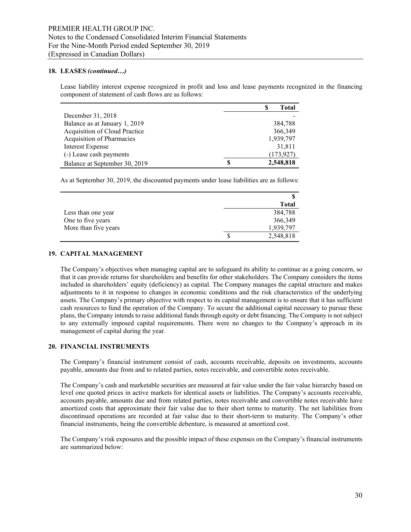#### **18. LEASES** *(continued…)*

Lease liability interest expense recognized in profit and loss and lease payments recognized in the financing component of statement of cash flows are as follows:

|                               |  | Total      |
|-------------------------------|--|------------|
| December 31, 2018             |  |            |
| Balance as at January 1, 2019 |  | 384,788    |
| Acquisition of Cloud Practice |  | 366,349    |
| Acquisition of Pharmacies     |  | 1,939,797  |
| Interest Expense              |  | 31,811     |
| (-) Lease cash payments       |  | (173, 927) |
| Balance at September 30, 2019 |  | 2,548,818  |

As at September 30, 2019, the discounted payments under lease liabilities are as follows:

|                      | <b>Total</b> |
|----------------------|--------------|
| Less than one year   | 384,788      |
| One to five years    | 366,349      |
| More than five years | 1,939,797    |
|                      | 2,548,818    |

#### **19. CAPITAL MANAGEMENT**

The Company's objectives when managing capital are to safeguard its ability to continue as a going concern, so that it can provide returns for shareholders and benefits for other stakeholders. The Company considers the items included in shareholders' equity (deficiency) as capital. The Company manages the capital structure and makes adjustments to it in response to changes in economic conditions and the risk characteristics of the underlying assets. The Company's primary objective with respect to its capital management is to ensure that it has sufficient cash resources to fund the operation of the Company. To secure the additional capital necessary to pursue these plans, the Company intends to raise additional funds through equity or debt financing. The Company is not subject to any externally imposed capital requirements. There were no changes to the Company's approach in its management of capital during the year.

#### **20. FINANCIAL INSTRUMENTS**

The Company's financial instrument consist of cash, accounts receivable, deposits on investments, accounts payable, amounts due from and to related parties, notes receivable, and convertible notes receivable.

The Company's cash and marketable securities are measured at fair value under the fair value hierarchy based on level one quoted prices in active markets for identical assets or liabilities. The Company's accounts receivable, accounts payable, amounts due and from related parties, notes receivable and convertible notes receivable have amortized costs that approximate their fair value due to their short terms to maturity. The net liabilities from discontinued operations are recorded at fair value due to their short-term to maturity. The Company's other financial instruments, being the convertible debenture, is measured at amortized cost.

The Company's risk exposures and the possible impact of these expenses on the Company's financial instruments are summarized below: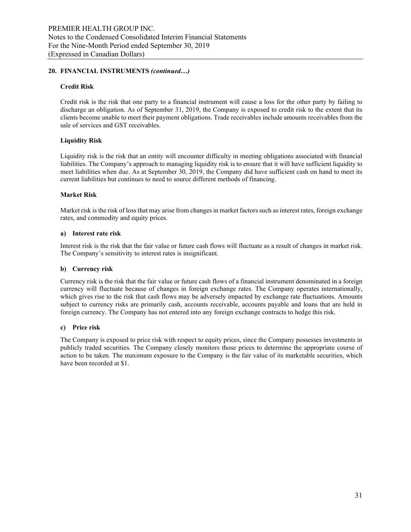#### **20. FINANCIAL INSTRUMENTS** *(continued…)*

#### **Credit Risk**

Credit risk is the risk that one party to a financial instrument will cause a loss for the other party by failing to discharge an obligation. As of September 31, 2019, the Company is exposed to credit risk to the extent that its clients become unable to meet their payment obligations. Trade receivables include amounts receivables from the sale of services and GST receivables.

#### **Liquidity Risk**

Liquidity risk is the risk that an entity will encounter difficulty in meeting obligations associated with financial liabilities. The Company's approach to managing liquidity risk is to ensure that it will have sufficient liquidity to meet liabilities when due. As at September 30, 2019, the Company did have sufficient cash on hand to meet its current liabilities but continues to need to source different methods of financing.

#### **Market Risk**

Market risk is the risk of loss that may arise from changes in market factors such as interest rates, foreign exchange rates, and commodity and equity prices.

#### **a) Interest rate risk**

Interest risk is the risk that the fair value or future cash flows will fluctuate as a result of changes in market risk. The Company's sensitivity to interest rates is insignificant.

#### **b) Currency risk**

Currency risk is the risk that the fair value or future cash flows of a financial instrument denominated in a foreign currency will fluctuate because of changes in foreign exchange rates. The Company operates internationally, which gives rise to the risk that cash flows may be adversely impacted by exchange rate fluctuations. Amounts subject to currency risks are primarily cash, accounts receivable, accounts payable and loans that are held in foreign currency. The Company has not entered into any foreign exchange contracts to hedge this risk.

#### **c) Price risk**

The Company is exposed to price risk with respect to equity prices, since the Company possesses investments in publicly traded securities. The Company closely monitors those prices to determine the appropriate course of action to be taken. The maximum exposure to the Company is the fair value of its marketable securities, which have been recorded at \$1.